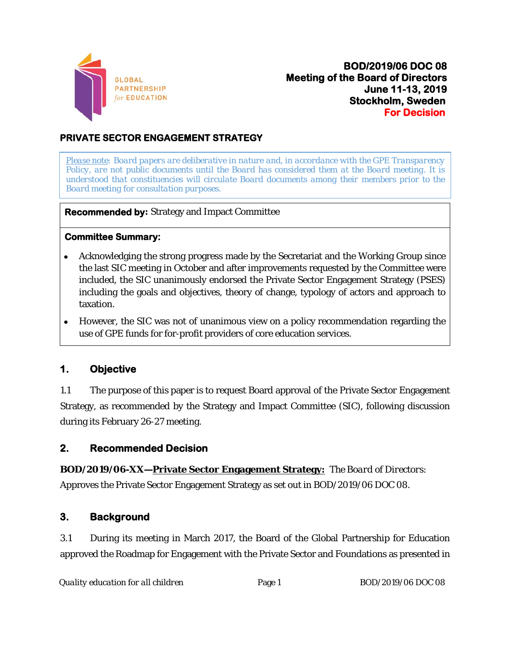

**BOD/2019/06 DOC 08 Meeting of the Board of Directors June 11-13, 2019 For EDUCATION** Stockholm, Sweden  **For Decision** 

# **PRIVATE SECTOR ENGAGEMENT STRATEGY**

*Please note: Board papers are deliberative in nature and, in accordance with the GPE Transparency Policy, are not public documents until the Board has considered them at the Board meeting. It is understood that constituencies will circulate Board documents among their members prior to the Board meeting for consultation purposes.*

#### **Recommended by:** Strategy and Impact Committee

#### **Committee Summary:**

- Acknowledging the strong progress made by the Secretariat and the Working Group since the last SIC meeting in October and after improvements requested by the Committee were included, the SIC unanimously endorsed the Private Sector Engagement Strategy (PSES) including the goals and objectives, theory of change, typology of actors and approach to taxation.
- However, the SIC was not of unanimous view on a policy recommendation regarding the use of GPE funds for for-profit providers of core education services.

## **1. Objective**

1.1 The purpose of this paper is to request Board approval of the Private Sector Engagement Strategy, as recommended by the Strategy and Impact Committee (SIC), following discussion during its February 26-27 meeting.

#### **2. Recommended Decision**

**BOD/2019/06-XX—Private Sector Engagement Strategy:** *The Board of Directors:* Approves the Private Sector Engagement Strategy as set out in BOD/2019/06 DOC 08.

#### **3. Background**

3.1 During its meeting in March 2017, the Board of the Global Partnership for Education approved the Roadmap for Engagement with the Private Sector and Foundations as presented in

 *Quality education for all children* Page 1 *BOD/2019/06 DOC 08*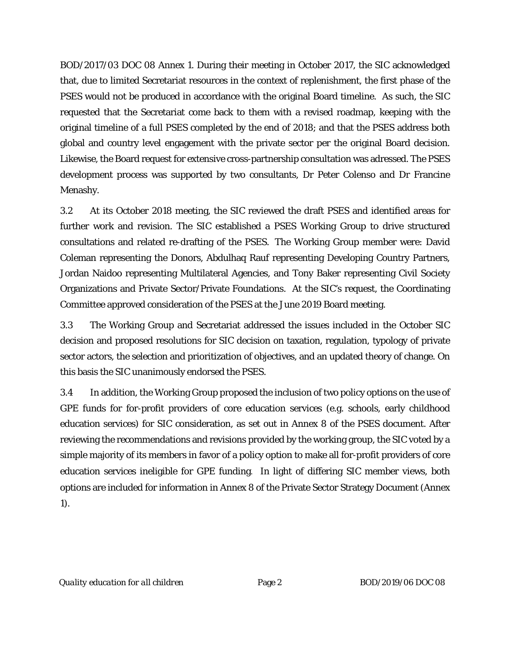BOD/2017/03 DOC 08 Annex 1. During their meeting in October 2017, the SIC acknowledged that, due to limited Secretariat resources in the context of replenishment, the first phase of the PSES would not be produced in accordance with the original Board timeline. As such, the SIC requested that the Secretariat come back to them with a revised roadmap, keeping with the original timeline of a full PSES completed by the end of 2018; and that the PSES address both global and country level engagement with the private sector per the original Board decision. Likewise, the Board request for extensive cross-partnership consultation was adressed. The PSES development process was supported by two consultants, Dr Peter Colenso and Dr Francine Menashy.

3.2 At its October 2018 meeting, the SIC reviewed the draft PSES and identified areas for further work and revision. The SIC established a PSES Working Group to drive structured consultations and related re-drafting of the PSES. The Working Group member were: David Coleman representing the Donors, Abdulhaq Rauf representing Developing Country Partners, Jordan Naidoo representing Multilateral Agencies, and Tony Baker representing Civil Society Organizations and Private Sector/Private Foundations. At the SIC's request, the Coordinating Committee approved consideration of the PSES at the June 2019 Board meeting.

3.3 The Working Group and Secretariat addressed the issues included in the October SIC decision and proposed resolutions for SIC decision on taxation, regulation, typology of private sector actors, the selection and prioritization of objectives, and an updated theory of change. On this basis the SIC unanimously endorsed the PSES.

3.4 In addition, the Working Group proposed the inclusion of two policy options on the use of GPE funds for for-profit providers of core education services (e.g. schools, early childhood education services) for SIC consideration, as set out in Annex 8 of the PSES document. After reviewing the recommendations and revisions provided by the working group, the SIC voted by a simple majority of its members in favor of a policy option to make all for-profit providers of core education services ineligible for GPE funding. In light of differing SIC member views, both options are included for information in Annex 8 of the Private Sector Strategy Document (Annex 1).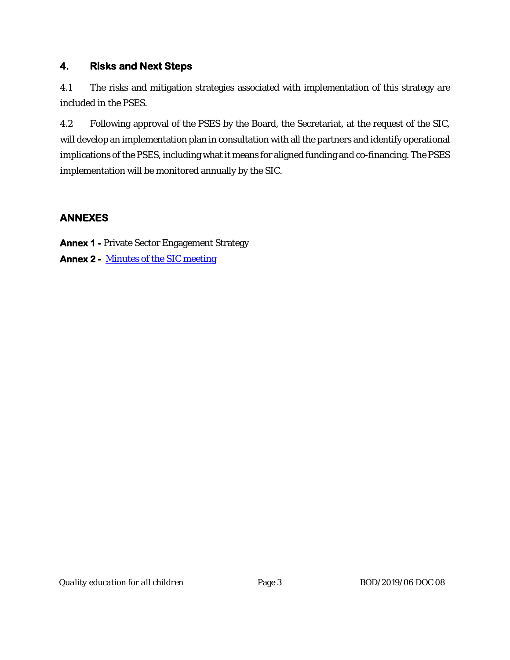# **4. Risks and Next Steps**

4.1 The risks and mitigation strategies associated with implementation of this strategy are included in the PSES.

4.2 Following approval of the PSES by the Board, the Secretariat, at the request of the SIC, will develop an implementation plan in consultation with all the partners and identify operational implications of the PSES, including what it means for aligned funding and co-financing. The PSES implementation will be monitored annually by the SIC.

# **ANNEXES**

- **Annex 1** Private Sector Engagement Strategy
- **Annex 2 -** [Minutes of the SIC meeting](https://eteam.worldbank.org/spaces/2012GPEFAC/Strategy%20and%20Impact%20Committee%20Meetings/2.%20February%2026-27,%202019,%20Washington/Meeting%20Summary/SIC-2019-02%20Meeting%20Summary%20February%2026-27.pdf)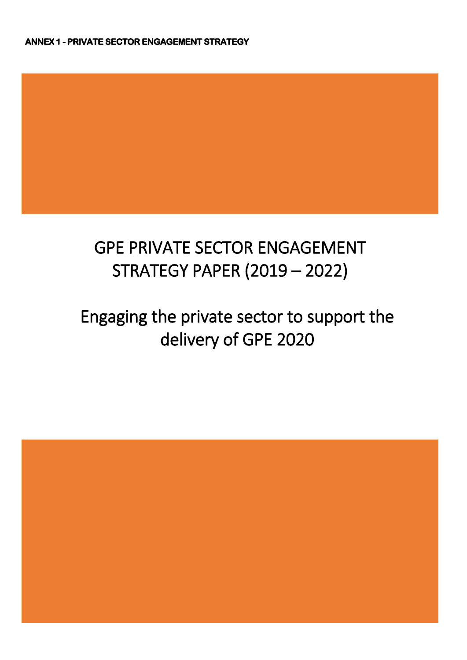# GPE PRIVATE SECTOR ENGAGEMENT STRATEGY PAPER (2019 – 2022)

# Engaging the private sector to support the delivery of GPE 2020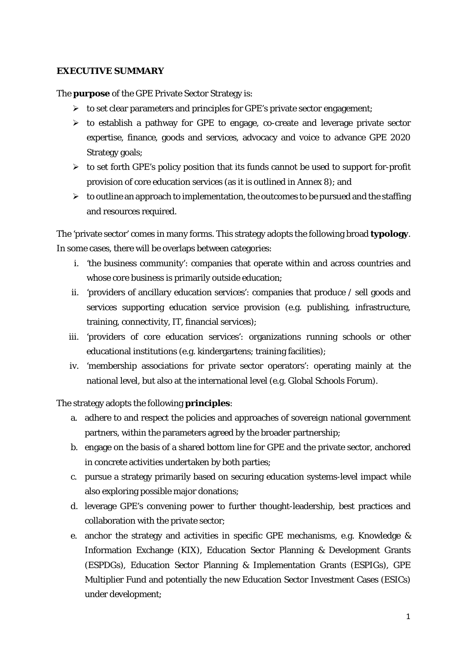#### **EXECUTIVE SUMMARY**

The **purpose** of the GPE Private Sector Strategy is:

- $\triangleright$  to set clear parameters and principles for GPE's private sector engagement;
- $\triangleright$  to establish a pathway for GPE to engage, co-create and leverage private sector expertise, finance, goods and services, advocacy and voice to advance GPE 2020 Strategy goals;
- $\triangleright$  to set forth GPE's policy position that its funds cannot be used to support for-profit provision of core education services (as it is outlined in Annex 8); and
- $\triangleright$  to outline an approach to implementation, the outcomes to be pursued and the staffing and resources required.

The 'private sector' comes in many forms. This strategy adopts the following broad **typology**. In some cases, there will be overlaps between categories:

- i. 'the business community': companies that operate within and across countries and whose core business is primarily outside education;
- ii. 'providers of ancillary education services': companies that produce / sell goods and services supporting education service provision (e.g. publishing, infrastructure, training, connectivity, IT, financial services);
- iii. 'providers of core education services': organizations running schools or other educational institutions (e.g. kindergartens; training facilities);
- iv. 'membership associations for private sector operators': operating mainly at the national level, but also at the international level (e.g. Global Schools Forum).

The strategy adopts the following **principles**:

- a. adhere to and respect the policies and approaches of sovereign national government partners, within the parameters agreed by the broader partnership;
- b. engage on the basis of a shared bottom line for GPE and the private sector, anchored in concrete activities undertaken by both parties;
- c. pursue a strategy primarily based on securing education systems-level impact while also exploring possible major donations;
- d. leverage GPE's convening power to further thought-leadership, best practices and collaboration with the private sector;
- e. anchor the strategy and activities in specific GPE mechanisms, e.g. Knowledge & Information Exchange (KIX), Education Sector Planning & Development Grants (ESPDGs), Education Sector Planning & Implementation Grants (ESPIGs), GPE Multiplier Fund and potentially the new Education Sector Investment Cases (ESICs) under development;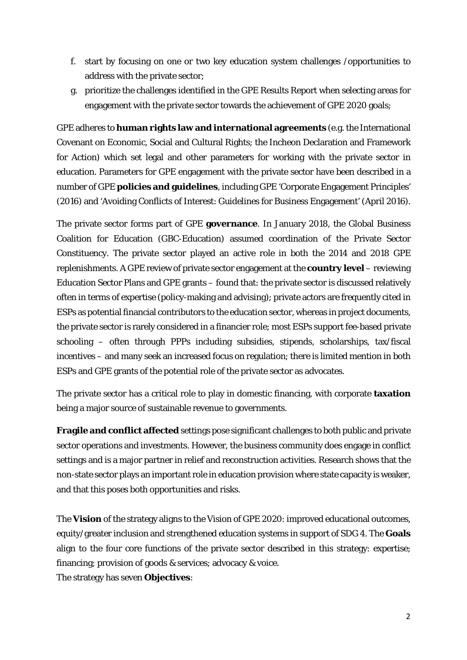- f. start by focusing on one or two key education system challenges /opportunities to address with the private sector;
- g. prioritize the challenges identified in the GPE Results Report when selecting areas for engagement with the private sector towards the achievement of GPE 2020 goals;

GPE adheres to **human rights law and international agreements** (e.g. the International Covenant on Economic, Social and Cultural Rights; the Incheon Declaration and Framework for Action) which set legal and other parameters for working with the private sector in education. Parameters for GPE engagement with the private sector have been described in a number of GPE **policies and guidelines**, including GPE 'Corporate Engagement Principles' (2016) and 'Avoiding Conflicts of Interest: Guidelines for Business Engagement' (April 2016).

The private sector forms part of GPE **governance**. In January 2018, the Global Business Coalition for Education (GBC-Education) assumed coordination of the Private Sector Constituency. The private sector played an active role in both the 2014 and 2018 GPE replenishments. A GPE review of private sector engagement at the **country level** – reviewing Education Sector Plans and GPE grants – found that: the private sector is discussed relatively often in terms of expertise (policy-making and advising); private actors are frequently cited in ESPs as potential financial contributors to the education sector, whereas in project documents, the private sector is rarely considered in a financier role; most ESPs support fee-based private schooling – often through PPPs including subsidies, stipends, scholarships, tax/fiscal incentives – and many seek an increased focus on regulation; there is limited mention in both ESPs and GPE grants of the potential role of the private sector as advocates.

The private sector has a critical role to play in domestic financing, with corporate **taxation** being a major source of sustainable revenue to governments.

**Fragile and conflict affected** settings pose significant challenges to both public and private sector operations and investments. However, the business community does engage in conflict settings and is a major partner in relief and reconstruction activities. Research shows that the non-state sector plays an important role in education provision where state capacity is weaker, and that this poses both opportunities and risks.

The **Vision** of the strategy aligns to the Vision of GPE 2020: improved educational outcomes, equity/greater inclusion and strengthened education systems in support of SDG 4. The **Goals** align to the four core functions of the private sector described in this strategy: expertise; financing; provision of goods & services; advocacy & voice. The strategy has seven **Objectives**: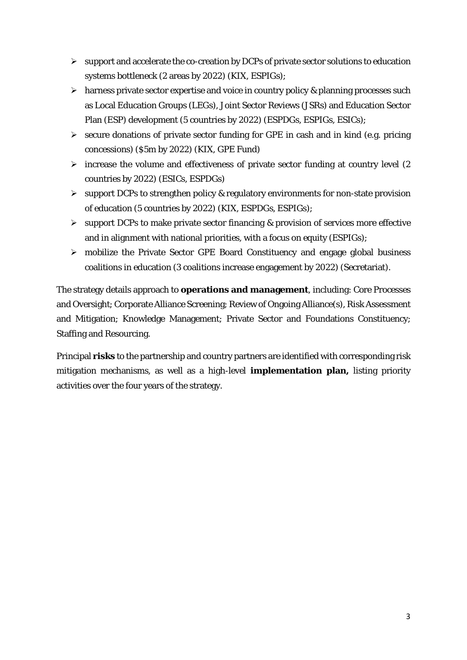- $\triangleright$  support and accelerate the co-creation by DCPs of private sector solutions to education systems bottleneck (2 areas by 2022) (KIX, ESPIGs);
- $\triangleright$  harness private sector expertise and voice in country policy & planning processes such as Local Education Groups (LEGs), Joint Sector Reviews (JSRs) and Education Sector Plan (ESP) development (5 countries by 2022) (ESPDGs, ESPIGs, ESICs);
- $\triangleright$  secure donations of private sector funding for GPE in cash and in kind (e.g. pricing concessions) (\$5m by 2022) (KIX, GPE Fund)
- $\triangleright$  increase the volume and effectiveness of private sector funding at country level (2) countries by 2022) (ESICs, ESPDGs)
- $\triangleright$  support DCPs to strengthen policy & regulatory environments for non-state provision of education (5 countries by 2022) (KIX, ESPDGs, ESPIGs);
- $\triangleright$  support DCPs to make private sector financing & provision of services more effective and in alignment with national priorities, with a focus on equity (ESPIGs);
- mobilize the Private Sector GPE Board Constituency and engage global business coalitions in education (3 coalitions increase engagement by 2022) (Secretariat).

The strategy details approach to **operations and management**, including: Core Processes and Oversight; Corporate Alliance Screening; Review of Ongoing Alliance(s), Risk Assessment and Mitigation; Knowledge Management; Private Sector and Foundations Constituency; Staffing and Resourcing.

Principal **risks** to the partnership and country partners are identified with corresponding risk mitigation mechanisms, as well as a high-level **implementation plan,** listing priority activities over the four years of the strategy.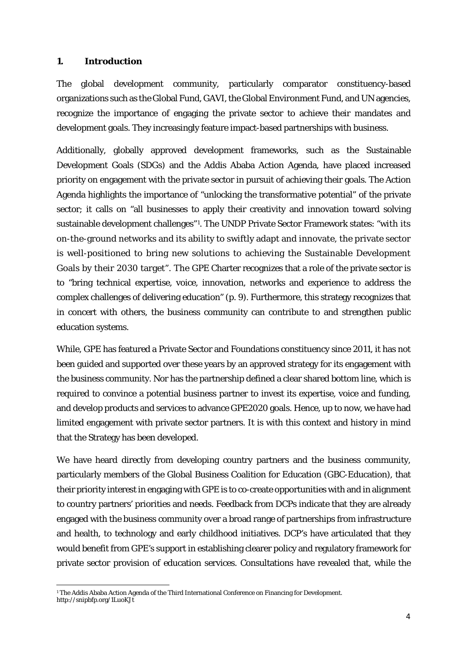#### **1. Introduction**

The global development community, particularly comparator constituency-based organizations such as the Global Fund, GAVI, the Global Environment Fund, and UN agencies, recognize the importance of engaging the private sector to achieve their mandates and development goals. They increasingly feature impact-based partnerships with business.

Additionally, globally approved development frameworks, such as the Sustainable Development Goals (SDGs) and the Addis Ababa Action Agenda, have placed increased priority on engagement with the private sector in pursuit of achieving their goals. The Action Agenda highlights the importance of "unlocking the transformative potential" of the private sector; it calls on "all businesses to apply their creativity and innovation toward solving sustainable development challenges"[1.](#page-7-0) The UNDP Private Sector Framework states: "with its on-the-ground networks and its ability to swiftly adapt and innovate, the private sector is well-positioned to bring new solutions to achieving the Sustainable Development Goals by their 2030 target". The GPE Charter recognizes that a role of the private sector is to "bring technical expertise, voice, innovation, networks and experience to address the complex challenges of delivering education" (p. 9). Furthermore, this strategy recognizes that in concert with others, the business community can contribute to and strengthen public education systems.

While, GPE has featured a Private Sector and Foundations constituency since 2011, it has not been guided and supported over these years by an approved strategy for its engagement with the business community. Nor has the partnership defined a clear shared bottom line, which is required to convince a potential business partner to invest its expertise, voice and funding, and develop products and services to advance GPE2020 goals. Hence, up to now, we have had limited engagement with private sector partners. It is with this context and history in mind that the Strategy has been developed.

We have heard directly from developing country partners and the business community, particularly members of the Global Business Coalition for Education (GBC-Education), that their priority interest in engaging with GPE is to co-create opportunities with and in alignment to country partners' priorities and needs. Feedback from DCPs indicate that they are already engaged with the business community over a broad range of partnerships from infrastructure and health, to technology and early childhood initiatives. DCP's have articulated that they would benefit from GPE's support in establishing clearer policy and regulatory framework for private sector provision of education services. Consultations have revealed that, while the

<span id="page-7-0"></span> $\overline{a}$ <sup>1</sup> The Addis Ababa Action Agenda of the Third International Conference on Financing for Development. http://snipbfp.org/1LuoKJt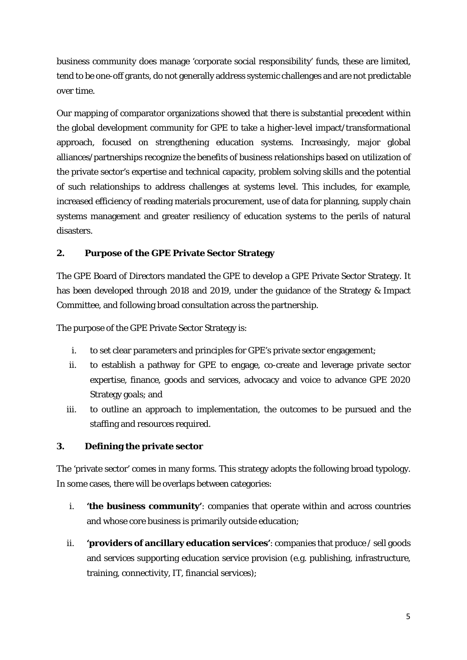business community does manage 'corporate social responsibility' funds, these are limited, tend to be one-off grants, do not generally address systemic challenges and are not predictable over time.

Our mapping of comparator organizations showed that there is substantial precedent within the global development community for GPE to take a higher-level impact/transformational approach, focused on strengthening education systems. Increasingly, major global alliances/partnerships recognize the benefits of business relationships based on utilization of the private sector's expertise and technical capacity, problem solving skills and the potential of such relationships to address challenges at systems level. This includes, for example, increased efficiency of reading materials procurement, use of data for planning, supply chain systems management and greater resiliency of education systems to the perils of natural disasters.

## **2. Purpose of the GPE Private Sector Strategy**

The GPE Board of Directors mandated the GPE to develop a GPE Private Sector Strategy. It has been developed through 2018 and 2019, under the guidance of the Strategy & Impact Committee, and following broad consultation across the partnership.

The purpose of the GPE Private Sector Strategy is:

- i. to set clear parameters and principles for GPE's private sector engagement;
- ii. to establish a pathway for GPE to engage, co-create and leverage private sector expertise, finance, goods and services, advocacy and voice to advance GPE 2020 Strategy goals; and
- iii. to outline an approach to implementation, the outcomes to be pursued and the staffing and resources required.

# **3. Defining the private sector**

The 'private sector' comes in many forms. This strategy adopts the following broad typology. In some cases, there will be overlaps between categories:

- i. **'the business community'**: companies that operate within and across countries and whose core business is primarily outside education;
- ii. **'providers of ancillary education services'**: companies that produce / sell goods and services supporting education service provision (e.g. publishing, infrastructure, training, connectivity, IT, financial services);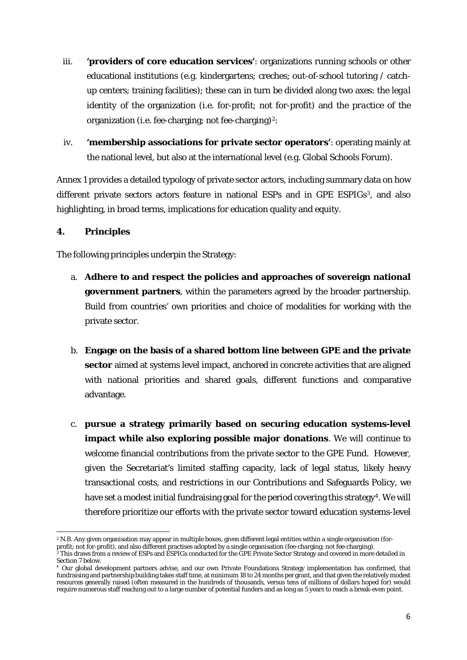- iii. **'providers of core education services'**: organizations running schools or other educational institutions (e.g. kindergartens; creches; out-of-school tutoring / catchup centers; training facilities); these can in turn be divided along two axes: the *legal identity* of the organization (i.e. for-profit; not for-profit) and the *practice* of the organization (i.e. fee-charging; not fee-charging)<sup>2</sup>:
- iv. **'membership associations for private sector operators'**: operating mainly at the national level, but also at the international level (e.g. Global Schools Forum).

Annex 1 provides a detailed typology of private sector actors, including summary data on how different private sectors actors feature in national ESPs and in GPE ESPIGs<sup>3</sup>, and also highlighting, in broad terms, implications for education quality and equity.

#### **4. Principles**

The following principles underpin the Strategy:

- a. **Adhere to and respect the policies and approaches of sovereign national government partners**, within the parameters agreed by the broader partnership. Build from countries' own priorities and choice of modalities for working with the private sector.
- b. **Engage on the basis of a shared bottom line between GPE and the private sector** aimed at systems level impact, anchored in concrete activities that are aligned with national priorities and shared goals, different functions and comparative advantage.
- c. **pursue a strategy primarily based on securing education systems-level impact while also exploring possible major donations**. We will continue to welcome financial contributions from the private sector to the GPE Fund. However, given the Secretariat's limited staffing capacity, lack of legal status, likely heavy transactional costs, and restrictions in our Contributions and Safeguards Policy, we have set a modest initial fundraising goal for the period covering this strategy[4](#page-9-2). We will therefore prioritize our efforts with the private sector toward education systems-level

**<sup>.</sup>** <sup>2</sup> N.B. Any given organisation may appear in multiple boxes, given different legal entities within a single organisation (for-

<span id="page-9-1"></span><span id="page-9-0"></span>profit; not for-profit), and also different practises adopted by a single organisation (fee-charging; not fee-charging).  $^3$  This draws from a review of ESPs and ESPIGs conducted for the GPE Private Sector Strategy and covered in more detailed in Section 7 below.

<span id="page-9-2"></span><sup>4</sup> Our global development partners advise, and our own Private Foundations Strategy implementation has confirmed, that fundraising and partnership building takes staff time, at minimum 18 to 24 months per grant, and that given the relatively modest resources generally raised (often measured in the hundreds of thousands, versus tens of millions of dollars hoped for) would require numerous staff reaching out to a large number of potential funders and as long as 5 years to reach a break-even point.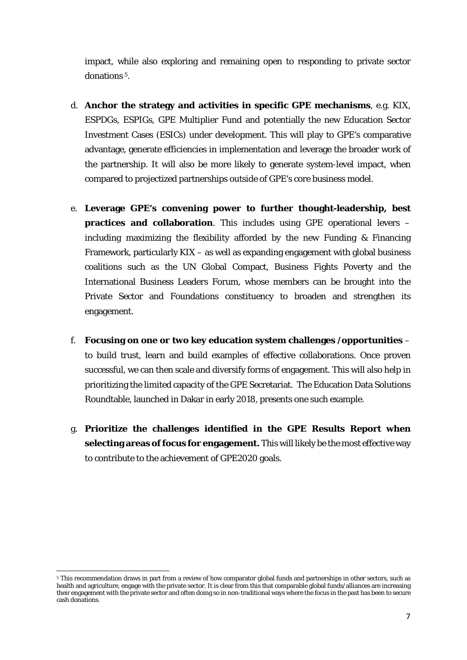impact, while also exploring and remaining open to responding to private sector donations [5](#page-10-0).

- d. **Anchor the strategy and activities in specific GPE mechanisms**, e.g. KIX, ESPDGs, ESPIGs, GPE Multiplier Fund and potentially the new Education Sector Investment Cases (ESICs) under development. This will play to GPE's comparative advantage, generate efficiencies in implementation and leverage the broader work of the partnership. It will also be more likely to generate system-level impact, when compared to projectized partnerships outside of GPE's core business model.
- e. **Leverage GPE's convening power to further thought-leadership, best practices and collaboration**. This includes using GPE operational levers – including maximizing the flexibility afforded by the new Funding & Financing Framework, particularly KIX – as well as expanding engagement with global business coalitions such as the UN Global Compact, Business Fights Poverty and the International Business Leaders Forum, whose members can be brought into the Private Sector and Foundations constituency to broaden and strengthen its engagement.
- f. **Focusing on one or two key education system challenges /opportunities** to build trust, learn and build examples of effective collaborations. Once proven successful, we can then scale and diversify forms of engagement. This will also help in prioritizing the limited capacity of the GPE Secretariat. The Education Data Solutions Roundtable, launched in Dakar in early 2018, presents one such example.
- g. **Prioritize the challenges identified in the GPE Results Report when selecting areas of focus for engagement.** This will likely be the most effective way to contribute to the achievement of GPE2020 goals.

<u>.</u>

<span id="page-10-0"></span><sup>5</sup> This recommendation draws in part from a review of how comparator global funds and partnerships in other sectors, such as health and agriculture, engage with the private sector. It is clear from this that comparable global funds/alliances are increasing their engagement with the private sector and often doing so in non-traditional ways where the focus in the past has been to secure cash donations.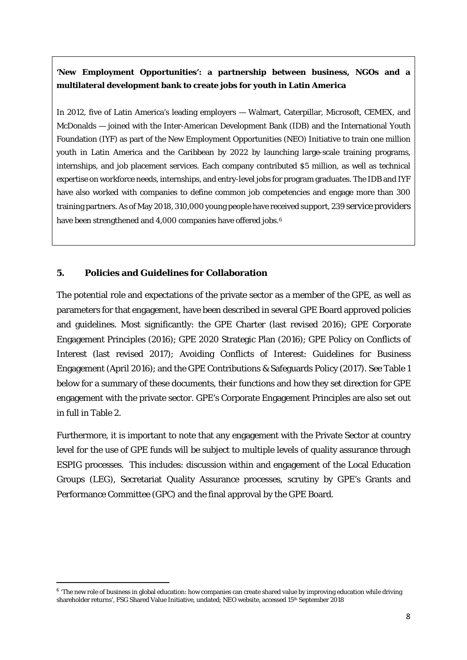# **'New Employment Opportunities': a partnership between business, NGOs and a multilateral development bank to create jobs for youth in Latin America**

In 2012, five of Latin America's leading employers — Walmart, Caterpillar, Microsoft, CEMEX, and McDonalds — joined with the Inter-American Development Bank (IDB) and the International Youth Foundation (IYF) as part of the New Employment Opportunities (NEO) Initiative to train one million youth in Latin America and the Caribbean by 2022 by launching large-scale training programs, internships, and job placement services. Each company contributed \$5 million, as well as technical expertise on workforce needs, internships, and entry-level jobs for program graduates. The IDB and IYF have also worked with companies to define common job competencies and engage more than 300 training partners. As of May 2018, 310,000 young people have received support, 239 service providers have been strengthened and 4,000 companies have offered jobs.<sup>[6](#page-11-0)</sup>

#### **5. Policies and Guidelines for Collaboration**

The potential role and expectations of the private sector as a member of the GPE, as well as parameters for that engagement, have been described in several GPE Board approved policies and guidelines. Most significantly: the GPE Charter (last revised 2016); GPE Corporate Engagement Principles (2016); GPE 2020 Strategic Plan (2016); GPE Policy on Conflicts of Interest (last revised 2017); Avoiding Conflicts of Interest: Guidelines for Business Engagement (April 2016); and the GPE Contributions & Safeguards Policy (2017). See Table 1 below for a summary of these documents, their functions and how they set direction for GPE engagement with the private sector. GPE's Corporate Engagement Principles are also set out in full in Table 2.

Furthermore, it is important to note that any engagement with the Private Sector at country level for the use of GPE funds will be subject to multiple levels of quality assurance through ESPIG processes. This includes: discussion within and engagement of the Local Education Groups (LEG), Secretariat Quality Assurance processes, scrutiny by GPE's Grants and Performance Committee (GPC) and the final approval by the GPE Board.

<span id="page-11-0"></span> $6$  The new role of business in global education: how companies can create shared value by improving education while driving shareholder returns', FSG Shared Value Initiative, undated; NEO website, accessed 15th September 2018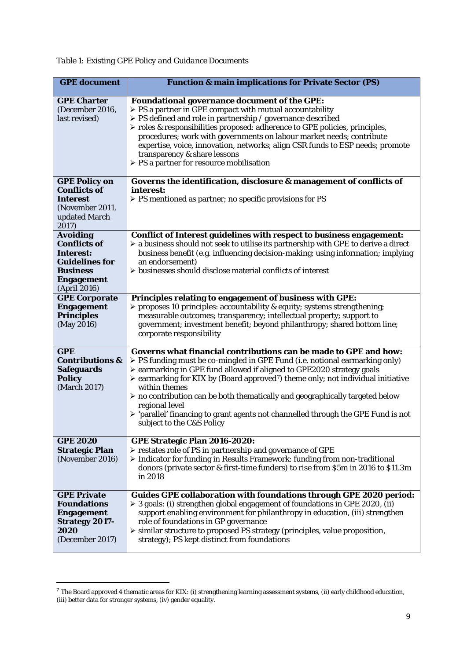## *Table 1: Existing GPE Policy and Guidance Documents*

| <b>GPE</b> document                                                                                                                  | <b>Function &amp; main implications for Private Sector (PS)</b>                                                                                                                                                                                                                                                                                                                                                                                                                                                                                                                                            |
|--------------------------------------------------------------------------------------------------------------------------------------|------------------------------------------------------------------------------------------------------------------------------------------------------------------------------------------------------------------------------------------------------------------------------------------------------------------------------------------------------------------------------------------------------------------------------------------------------------------------------------------------------------------------------------------------------------------------------------------------------------|
| <b>GPE Charter</b><br>(December 2016,<br>last revised)                                                                               | <b>Foundational governance document of the GPE:</b><br>$\triangleright$ PS a partner in GPE compact with mutual accountability<br>$\triangleright$ PS defined and role in partnership / governance described<br>$\triangleright$ roles & responsibilities proposed: adherence to GPE policies, principles,<br>procedures; work with governments on labour market needs; contribute<br>expertise, voice, innovation, networks; align CSR funds to ESP needs; promote<br>transparency & share lessons<br>$\triangleright$ PS a partner for resource mobilisation                                             |
| <b>GPE Policy on</b>                                                                                                                 | Governs the identification, disclosure & management of conflicts of                                                                                                                                                                                                                                                                                                                                                                                                                                                                                                                                        |
| <b>Conflicts of</b><br>Interest<br>(November 2011,<br>updated March<br>2017)                                                         | interest:<br>$\triangleright$ PS mentioned as partner; no specific provisions for PS                                                                                                                                                                                                                                                                                                                                                                                                                                                                                                                       |
| <b>Avoiding</b><br><b>Conflicts of</b><br>Interest:<br><b>Guidelines for</b><br><b>Business</b><br><b>Engagement</b><br>(April 2016) | Conflict of Interest guidelines with respect to business engagement:<br>$\triangleright$ a business should not seek to utilise its partnership with GPE to derive a direct<br>business benefit (e.g. influencing decision-making; using information; implying<br>an endorsement)<br>$\blacktriangleright$ businesses should disclose material conflicts of interest                                                                                                                                                                                                                                        |
| <b>GPE Corporate</b><br><b>Engagement</b><br><b>Principles</b><br>(May 2016)                                                         | Principles relating to engagement of business with GPE:<br>$\triangleright$ proposes 10 principles: accountability & equity; systems strengthening;<br>measurable outcomes; transparency; intellectual property; support to<br>government; investment benefit; beyond philanthropy; shared bottom line;<br>corporate responsibility                                                                                                                                                                                                                                                                        |
| <b>GPE</b><br><b>Contributions &amp;</b><br><b>Safeguards</b><br><b>Policy</b><br>(March 2017)                                       | Governs what financial contributions can be made to GPE and how:<br>> PS funding must be co-mingled in GPE Fund (i.e. notional earmarking only)<br>> earmarking in GPE fund allowed if aligned to GPE2020 strategy goals<br>$\triangleright$ earmarking for KIX by (Board approved <sup>7</sup> ) theme only; not individual initiative<br>within themes<br>$\triangleright$ no contribution can be both thematically and geographically targeted below<br>regional level<br>$\triangleright$ 'parallel' financing to grant agents not channelled through the GPE Fund is not<br>subject to the C&S Policy |
| <b>GPE 2020</b><br><b>Strategic Plan</b><br>(November 2016)                                                                          | GPE Strategic Plan 2016-2020:<br>> restates role of PS in partnership and governance of GPE<br>$\triangleright$ Indicator for funding in Results Framework: funding from non-traditional<br>donors (private sector & first-time funders) to rise from \$5m in 2016 to \$11.3m<br>in 2018                                                                                                                                                                                                                                                                                                                   |
| <b>GPE Private</b><br><b>Foundations</b><br><b>Engagement</b><br><b>Strategy 2017-</b><br>2020<br>(December 2017)                    | <b>Guides GPE collaboration with foundations through GPE 2020 period:</b><br>$\geq$ 3 goals: (i) strengthen global engagement of foundations in GPE 2020, (ii)<br>support enabling environment for philanthropy in education, (iii) strengthen<br>role of foundations in GP governance<br>$\triangleright$ similar structure to proposed PS strategy (principles, value proposition,<br>strategy); PS kept distinct from foundations                                                                                                                                                                       |

<span id="page-12-0"></span> <sup>7</sup> The Board approved 4 thematic areas for KIX: (i) strengthening learning assessment systems, (ii) early childhood education, (iii) better data for stronger systems, (iv) gender equality.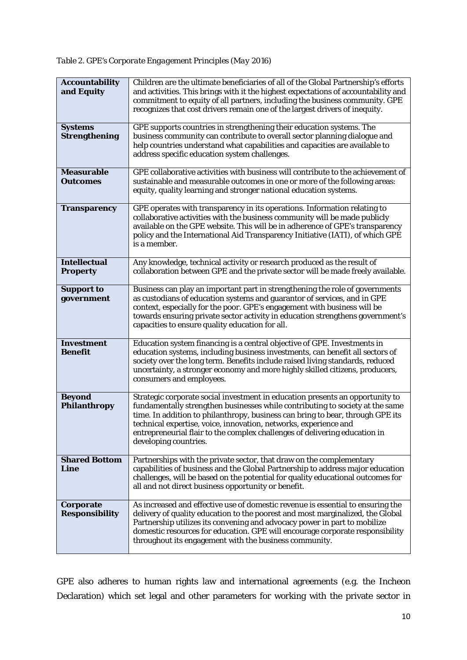## *Table 2. GPE's Corporate Engagement Principles (May 2016)*

| <b>Accountability</b><br>and Equity    | Children are the ultimate beneficiaries of all of the Global Partnership's efforts<br>and activities. This brings with it the highest expectations of accountability and<br>commitment to equity of all partners, including the business community. GPE<br>recognizes that cost drivers remain one of the largest drivers of inequity.                                                                                      |
|----------------------------------------|-----------------------------------------------------------------------------------------------------------------------------------------------------------------------------------------------------------------------------------------------------------------------------------------------------------------------------------------------------------------------------------------------------------------------------|
| <b>Systems</b><br><b>Strengthening</b> | GPE supports countries in strengthening their education systems. The<br>business community can contribute to overall sector planning dialogue and<br>help countries understand what capabilities and capacities are available to<br>address specific education system challenges.                                                                                                                                           |
| <b>Measurable</b><br><b>Outcomes</b>   | GPE collaborative activities with business will contribute to the achievement of<br>sustainable and measurable outcomes in one or more of the following areas:<br>equity, quality learning and stronger national education systems.                                                                                                                                                                                         |
| <b>Transparency</b>                    | GPE operates with transparency in its operations. Information relating to<br>collaborative activities with the business community will be made publicly<br>available on the GPE website. This will be in adherence of GPE's transparency<br>policy and the International Aid Transparency Initiative (IATI), of which GPE<br>is a member.                                                                                   |
| <b>Intellectual</b><br><b>Property</b> | Any knowledge, technical activity or research produced as the result of<br>collaboration between GPE and the private sector will be made freely available.                                                                                                                                                                                                                                                                  |
| <b>Support to</b><br>government        | Business can play an important part in strengthening the role of governments<br>as custodians of education systems and guarantor of services, and in GPE<br>context, especially for the poor. GPE's engagement with business will be<br>towards ensuring private sector activity in education strengthens government's<br>capacities to ensure quality education for all.                                                   |
| <b>Investment</b><br><b>Benefit</b>    | Education system financing is a central objective of GPE. Investments in<br>education systems, including business investments, can benefit all sectors of<br>society over the long term. Benefits include raised living standards, reduced<br>uncertainty, a stronger economy and more highly skilled citizens, producers,<br>consumers and employees.                                                                      |
| <b>Beyond</b><br><b>Philanthropy</b>   | Strategic corporate social investment in education presents an opportunity to<br>fundamentally strengthen businesses while contributing to society at the same<br>time. In addition to philanthropy, business can bring to bear, through GPE its<br>technical expertise, voice, innovation, networks, experience and<br>entrepreneurial flair to the complex challenges of delivering education in<br>developing countries. |
| <b>Shared Bottom</b><br>Line           | Partnerships with the private sector, that draw on the complementary<br>capabilities of business and the Global Partnership to address major education<br>challenges, will be based on the potential for quality educational outcomes for<br>all and not direct business opportunity or benefit.                                                                                                                            |
| Corporate<br><b>Responsibility</b>     | As increased and effective use of domestic revenue is essential to ensuring the<br>delivery of quality education to the poorest and most marginalized, the Global<br>Partnership utilizes its convening and advocacy power in part to mobilize<br>domestic resources for education. GPE will encourage corporate responsibility<br>throughout its engagement with the business community.                                   |

GPE also adheres to human rights law and international agreements (e.g. the Incheon Declaration) which set legal and other parameters for working with the private sector in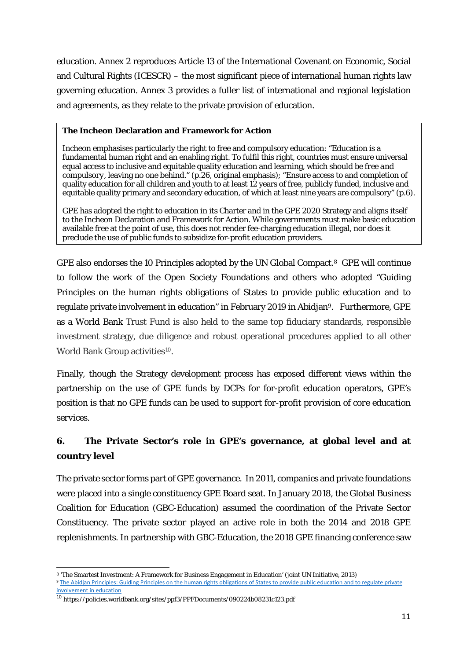education. Annex 2 reproduces Article 13 of the International Covenant on Economic, Social and Cultural Rights (ICESCR) – the most significant piece of international human rights law governing education. Annex 3 provides a fuller list of international and regional legislation and agreements, as they relate to the private provision of education.

#### **The Incheon Declaration and Framework for Action**

Incheon emphasises particularly the right to free and compulsory education: "Education is a fundamental human right and an enabling right. To fulfil this right, countries must ensure universal equal access to inclusive and equitable quality education and learning, which should be *free and compulsory,* leaving no one behind." (p.26, original emphasis); "Ensure access to and completion of quality education for all children and youth to at least 12 years of free, publicly funded, inclusive and equitable quality primary and secondary education, of which at least nine years are compulsory" (p.6).

GPE has adopted the right to education in its Charter and in the GPE 2020 Strategy and aligns itself to the Incheon Declaration and Framework for Action. While governments must make basic education available free at the point of use, this does not render fee-charging education illegal, nor does it preclude the use of public funds to subsidize for-profit education providers.

GPE also endorses the 10 Principles adopted by the UN Global Compact.[8](#page-14-0) GPE will continue to follow the work of the Open Society Foundations and others who adopted "Guiding Principles on the human rights obligations of States to provide public education and to regulate private involvement in education" in February 2019 in Abidjan[9](#page-14-1). Furthermore, GPE as a World Bank Trust Fund is also held to the same top fiduciary standards, responsible investment strategy, due diligence and robust operational procedures applied to all other World Bank Group activities<sup>10</sup>.

Finally, though the Strategy development process has exposed different views within the partnership on the use of GPE funds by DCPs for for-profit education operators, GPE's position is that *no GPE funds can be used to support for-profit provision of core education services.*

# **6. The Private Sector's role in GPE's governance, at global level and at country level**

The private sector forms part of GPE governance. In 2011, companies and private foundations were placed into a single constituency GPE Board seat. In January 2018, the Global Business Coalition for Education (GBC-Education) assumed the coordination of the Private Sector Constituency. The private sector played an active role in both the 2014 and 2018 GPE replenishments. In partnership with GBC-Education, the 2018 GPE financing conference saw

<span id="page-14-0"></span><sup>&</sup>lt;u>.</u> <sup>8</sup> 'The Smartest Investment: A Framework for Business Engagement in Education' (joint UN Initiative, 2013) <sup>9</sup> The Abidjan Principles: Guiding Principles on the human rights obligations of States to provide public education and to regulate private [involvement in education](https://www.abidjanprinciples.org/en/background/overview)

<span id="page-14-2"></span><span id="page-14-1"></span><sup>10</sup> https://policies.worldbank.org/sites/ppf3/PPFDocuments/090224b08231c123.pdf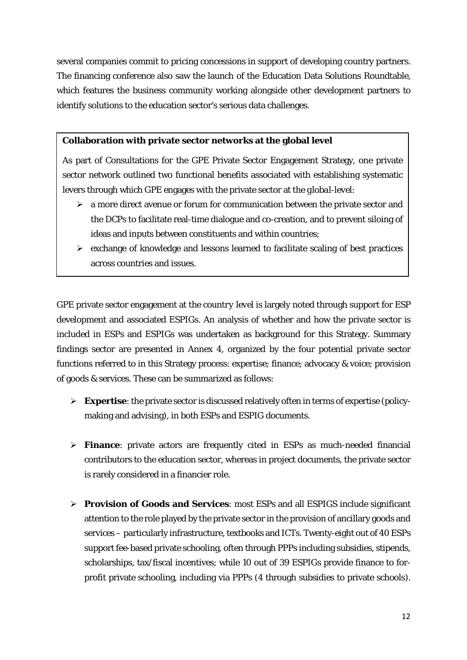several companies commit to pricing concessions in support of developing country partners. The financing conference also saw the launch of the Education Data Solutions Roundtable, which features the business community working alongside other development partners to identify solutions to the education sector's serious data challenges.

#### **Collaboration with private sector networks at the global level**

As part of Consultations for the GPE Private Sector Engagement Strategy, one private sector network outlined two functional benefits associated with establishing systematic levers through which GPE engages with the private sector at the *global-level*:

- $\triangleright$  a more direct avenue or forum for communication between the private sector and the DCPs to facilitate real-time dialogue and co-creation, and to prevent siloing of ideas and inputs between constituents and within countries;
- $\triangleright$  exchange of knowledge and lessons learned to facilitate scaling of best practices across countries and issues.

GPE private sector engagement at the *country level* is largely noted through support for ESP development and associated ESPIGs. An analysis of whether and how the private sector is included in ESPs and ESPIGs was undertaken as background for this Strategy. Summary findings sector are presented in Annex 4, organized by the four potential private sector functions referred to in this Strategy process: expertise; finance; advocacy & voice; provision of goods & services. These can be summarized as follows:

- **Expertise**: the private sector is discussed relatively often in terms of expertise (policymaking and advising), in both ESPs and ESPIG documents.
- **Finance**: private actors are frequently cited in ESPs as much-needed financial contributors to the education sector, whereas in project documents, the private sector is rarely considered in a financier role.
- **Provision of Goods and Services**: most ESPs and all ESPIGS include significant attention to the role played by the private sector in the provision of ancillary goods and services – particularly infrastructure, textbooks and ICTs. Twenty-eight out of 40 ESPs support fee-based private schooling, often through PPPs including subsidies, stipends, scholarships, tax/fiscal incentives; while 10 out of 39 ESPIGs provide finance to forprofit private schooling, including via PPPs (4 through subsidies to private schools).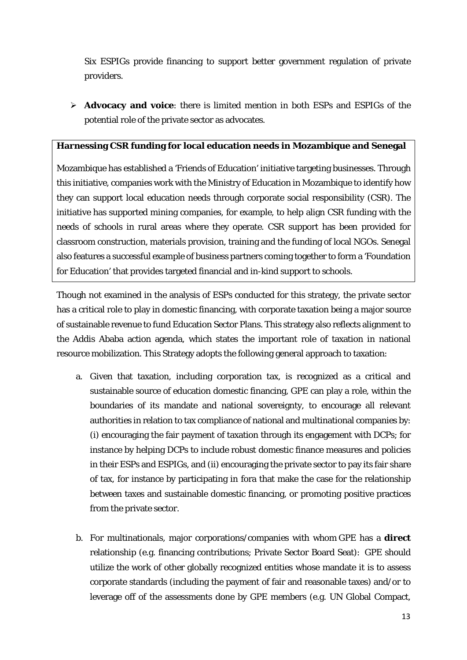Six ESPIGs provide financing to support better government regulation of private providers.

 **Advocacy and voice**: there is limited mention in both ESPs and ESPIGs of the potential role of the private sector as advocates.

#### **Harnessing CSR funding for local education needs in Mozambique and Senegal**

Mozambique has established a 'Friends of Education' initiative targeting businesses. Through this initiative, companies work with the Ministry of Education in Mozambique to identify how they can support local education needs through corporate social responsibility (CSR). The initiative has supported mining companies, for example, to help align CSR funding with the needs of schools in rural areas where they operate. CSR support has been provided for classroom construction, materials provision, training and the funding of local NGOs. Senegal also features a successful example of business partners coming together to form a 'Foundation for Education' that provides targeted financial and in-kind support to schools.

Though not examined in the analysis of ESPs conducted for this strategy, the private sector has a critical role to play in domestic financing, with corporate taxation being a major source of sustainable revenue to fund Education Sector Plans. This strategy also reflects alignment to the Addis Ababa action agenda, which states the important role of taxation in national resource mobilization. This Strategy adopts the following general approach to taxation:

- a. Given that taxation, including corporation tax, is recognized as a critical and sustainable source of education domestic financing, GPE can play a role, within the boundaries of its mandate and national sovereignty, to encourage all relevant authorities in relation to tax compliance of national and multinational companies by: (i) encouraging the fair payment of taxation through its engagement with DCPs; for instance by helping DCPs to include robust domestic finance measures and policies in their ESPs and ESPIGs, and (ii) encouraging the private sector to pay its fair share of tax, for instance by participating in fora that make the case for the relationship between taxes and sustainable domestic financing, or promoting positive practices from the private sector.
- b. For multinationals, major corporations/companies with whom GPE has a **direct**  relationship (e.g. financing contributions; Private Sector Board Seat): GPE should utilize the work of other globally recognized entities whose mandate it is to assess corporate standards (including the payment of fair and reasonable taxes) and/or to leverage off of the assessments done by GPE members (e.g. UN Global Compact,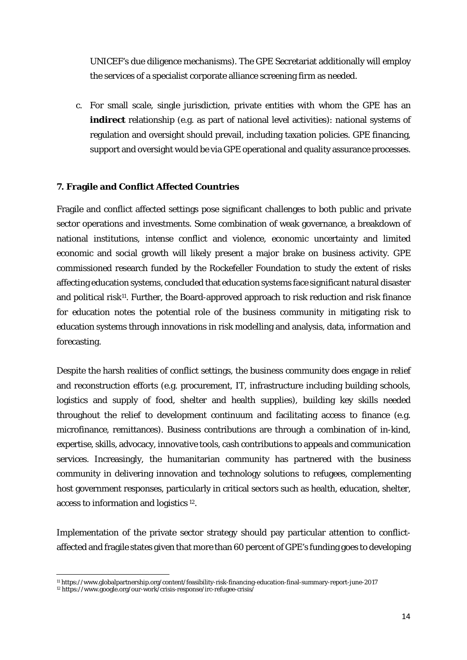UNICEF's due diligence mechanisms). The GPE Secretariat additionally will employ the services of a specialist corporate alliance screening firm as needed.

c. For small scale, single jurisdiction, private entities with whom the GPE has an **indirect** relationship (e.g. as part of national level activities): national systems of regulation and oversight should prevail, including taxation policies. GPE financing, support and oversight would be via GPE operational and quality assurance processes.

#### **7. Fragile and Conflict Affected Countries**

Fragile and conflict affected settings pose significant challenges to both public and private sector operations and investments. Some combination of weak governance, a breakdown of national institutions, intense conflict and violence, economic uncertainty and limited economic and social growth will likely present a major brake on business activity. GPE commissioned research funded by the Rockefeller Foundation to study the extent of risks affecting education systems, concluded that education systems face significant natural disaster and political risk<sup>11</sup>. Further, the Board-approved approach to risk reduction and risk finance for education notes the potential role of the business community in mitigating risk to education systems through innovations in risk modelling and analysis, data, information and forecasting.

Despite the harsh realities of conflict settings, the business community does engage in relief and reconstruction efforts (e.g. procurement, IT, infrastructure including building schools, logistics and supply of food, shelter and health supplies), building key skills needed throughout the relief to development continuum and facilitating access to finance (e.g. microfinance, remittances). Business contributions are through a combination of in-kind, expertise, skills, advocacy, innovative tools, cash contributions to appeals and communication services. Increasingly, the humanitarian community has partnered with the business community in delivering innovation and technology solutions to refugees, complementing host government responses, particularly in critical sectors such as health, education, shelter, access to information and logistics [12](#page-17-1).

Implementation of the private sector strategy should pay particular attention to conflictaffected and fragile states given that more than 60 percent of GPE's funding goes to developing

 $\overline{a}$ 

<span id="page-17-0"></span><sup>11</sup> https://www.globalpartnership.org/content/feasibility-risk-financing-education-final-summary-report-june-2017

<span id="page-17-1"></span><sup>12</sup> https://www.google.org/our-work/crisis-response/irc-refugee-crisis/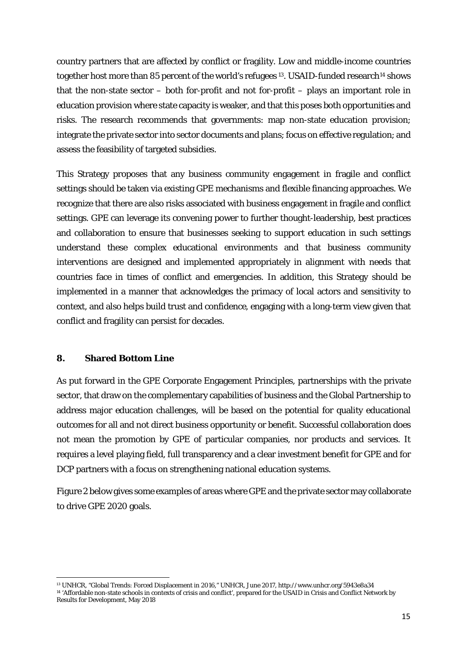country partners that are affected by conflict or fragility. Low and middle-income countries together host more than 85 percent of the world's refugees <sup>13</sup>. USAID-funded research<sup>[14](#page-18-1)</sup> shows that the non-state sector – both for-profit and not for-profit – plays an important role in education provision where state capacity is weaker, and that this poses both opportunities and risks. The research recommends that governments: map non-state education provision; integrate the private sector into sector documents and plans; focus on effective regulation; and assess the feasibility of targeted subsidies.

This Strategy proposes that any business community engagement in fragile and conflict settings should be taken via existing GPE mechanisms and flexible financing approaches. We recognize that there are also risks associated with business engagement in fragile and conflict settings. GPE can leverage its convening power to further thought-leadership, best practices and collaboration to ensure that businesses seeking to support education in such settings understand these complex educational environments and that business community interventions are designed and implemented appropriately in alignment with needs that countries face in times of conflict and emergencies. In addition, this Strategy should be implemented in a manner that acknowledges the primacy of local actors and sensitivity to context, and also helps build trust and confidence, engaging with a long-term view given that conflict and fragility can persist for decades.

#### **8. Shared Bottom Line**

As put forward in the GPE Corporate Engagement Principles, partnerships with the private sector, that draw on the complementary capabilities of business and the Global Partnership to address major education challenges, will be based on the potential for quality educational outcomes for all and not direct business opportunity or benefit. Successful collaboration does not mean the promotion by GPE of particular companies, nor products and services. It requires a level playing field, full transparency and a clear investment benefit for GPE and for DCP partners with a focus on strengthening national education systems.

Figure 2 below gives some examples of areas where GPE and the private sector may collaborate to drive GPE 2020 goals.

<span id="page-18-1"></span><span id="page-18-0"></span> <sup>13</sup> UNHCR, "Global Trends: Forced Displacement in 2016," UNHCR, June 2017, http://www.unhcr.org/5943e8a34 14 'Affordable non-state schools in contexts of crisis and conflict', prepared for the USAID in Crisis and Conflict Network by Results for Development, May 2018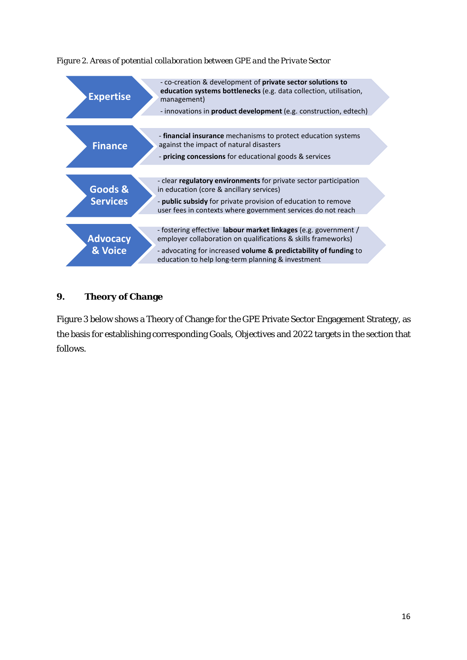



## **9. Theory of Change**

Figure 3 below shows a Theory of Change for the GPE Private Sector Engagement Strategy, as the basis for establishing corresponding Goals, Objectives and 2022 targets in the section that follows.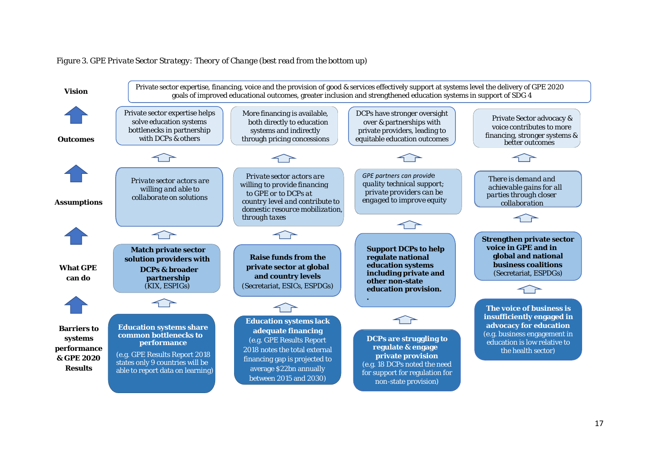*Figure 3. GPE Private Sector Strategy: Theory of Change (best read from the bottom up)*

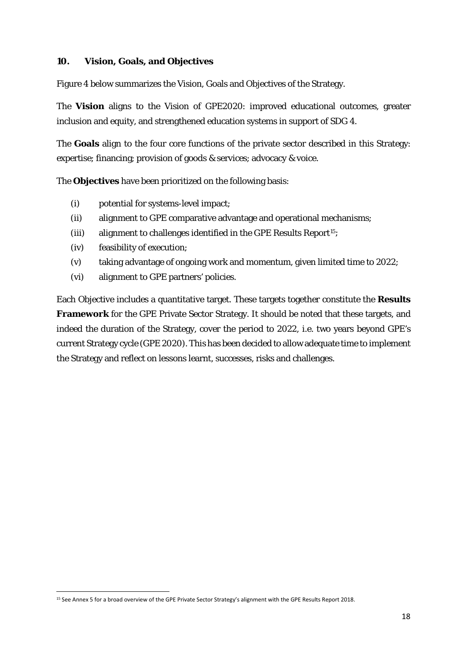#### **10. Vision, Goals, and Objectives**

Figure 4 below summarizes the Vision, Goals and Objectives of the Strategy.

The **Vision** aligns to the Vision of GPE2020: improved educational outcomes, greater inclusion and equity, and strengthened education systems in support of SDG 4.

The **Goals** align to the four core functions of the private sector described in this Strategy: expertise; financing; provision of goods & services; advocacy & voice.

The **Objectives** have been prioritized on the following basis:

- (i) potential for systems-level impact;
- (ii) alignment to GPE comparative advantage and operational mechanisms;
- (iii) alignment to challenges identified in the GPE Results Report<sup>15</sup>;
- (iv) feasibility of execution;
- (v) taking advantage of ongoing work and momentum, given limited time to 2022;
- (vi) alignment to GPE partners' policies.

Each Objective includes a quantitative target. These targets together constitute the **Results Framework** for the GPE Private Sector Strategy. It should be noted that these targets, and indeed the duration of the Strategy, cover the period to 2022, i.e. two years beyond GPE's current Strategy cycle (GPE 2020). This has been decided to allow adequate time to implement the Strategy and reflect on lessons learnt, successes, risks and challenges.

<span id="page-21-0"></span><sup>&</sup>lt;sup>15</sup> See Annex 5 for a broad overview of the GPE Private Sector Strategy's alignment with the GPE Results Report 2018.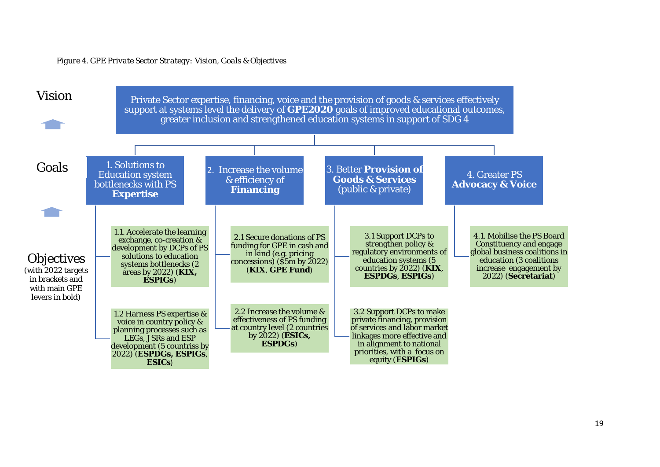*Figure 4. GPE Private Sector Strategy: Vision, Goals & Objectives*

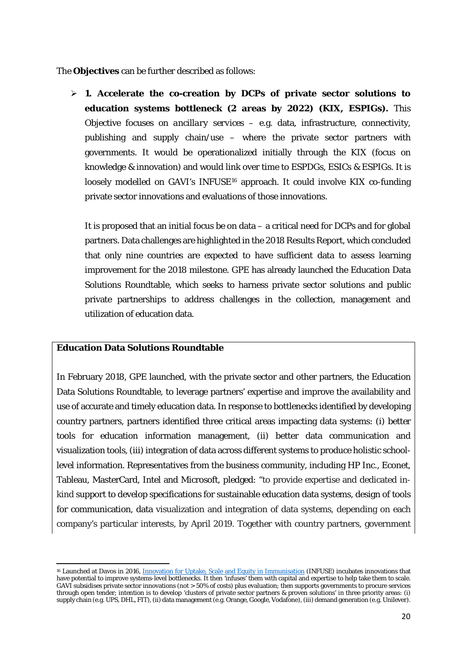The **Objectives** can be further described as follows:

 **1. Accelerate the co-creation by DCPs of private sector solutions to education systems bottleneck (2 areas by 2022) (KIX, ESPIGs).** This Objective focuses on *ancillary services* – e.g. data, infrastructure, connectivity, publishing and supply chain/use – where the private sector partners with governments. It would be operationalized initially through the KIX (focus on knowledge & innovation) and would link over time to ESPDGs, ESICs & ESPIGs. It is loosely modelled on GAVI's INFUSE<sup>[16](#page-23-0)</sup> approach. It could involve KIX co-funding private sector innovations and evaluations of those innovations.

It is proposed that an initial focus be on data – a critical need for DCPs and for global partners. Data challenges are highlighted in the 2018 Results Report, which concluded that only nine countries are expected to have sufficient data to assess learning improvement for the 2018 milestone. GPE has already launched the Education Data Solutions Roundtable, which seeks to harness private sector solutions and public private partnerships to address challenges in the collection, management and utilization of education data.

#### **Education Data Solutions Roundtable**

**.** 

In February 2018, GPE launched, with the private sector and other partners, the Education Data Solutions Roundtable, to leverage partners' expertise and improve the availability and use of accurate and timely education data. In response to bottlenecks identified by developing country partners, partners identified three critical areas impacting data systems: (i) better tools for education information management, (ii) better data communication and visualization tools, (iii) integration of data across different systems to produce holistic schoollevel information. Representatives from the business community, including HP Inc., Econet, Tableau, MasterCard, Intel and Microsoft, pledged: "to provide expertise and dedicated inkind support to develop specifications for sustainable education data systems, design of tools for communication, data visualization and integration of data systems, depending on each company's particular interests, by April 2019. Together with country partners, government

<span id="page-23-0"></span><sup>&</sup>lt;sup>16</sup> Launched at Davos in 2016[, Innovation for Uptake, Scale and Equity in Immunisation](https://www.gavi.org/infuse/) (INFUSE) incubates innovations that have potential to improve systems-level bottlenecks. It then 'infuses' them with capital and expertise to help take them to scale. GAVI subsidises private sector innovations (not > 50% of costs) plus evaluation; then supports governments to procure services through open tender; intention is to develop 'clusters of private sector partners & proven solutions' in three priority areas: (i) supply chain (e.g. UPS, DHL, FIT), (ii) data management (e.g. Orange, Google, Vodafone), (iii) demand generation (e.g. Unilever).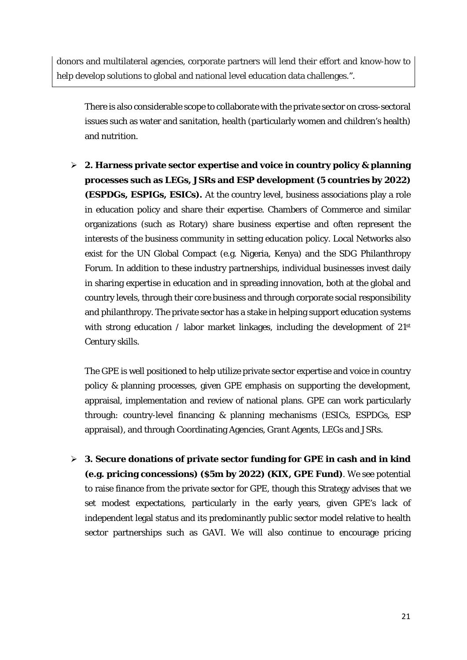donors and multilateral agencies, corporate partners will lend their effort and know-how to help develop solutions to global and national level education data challenges.".

There is also considerable scope to collaborate with the private sector on cross-sectoral issues such as water and sanitation, health (particularly women and children's health) and nutrition.

 **2. Harness private sector expertise and voice in country policy & planning processes such as LEGs, JSRs and ESP development (5 countries by 2022) (ESPDGs, ESPIGs, ESICs).** At the country level, business associations play a role in education policy and share their expertise. Chambers of Commerce and similar organizations (such as Rotary) share business expertise and often represent the interests of the business community in setting education policy. Local Networks also exist for the UN Global Compact (e.g. Nigeria, Kenya) and the SDG Philanthropy Forum. In addition to these industry partnerships, individual businesses invest daily in sharing expertise in education and in spreading innovation, both at the global and country levels, through their core business and through corporate social responsibility and philanthropy. The private sector has a stake in helping support education systems with strong education / labor market linkages, including the development of  $21^{st}$ Century skills.

The GPE is well positioned to help utilize private sector expertise and voice in country policy & planning processes, given GPE emphasis on supporting the development, appraisal, implementation and review of national plans. GPE can work particularly through: country-level financing & planning mechanisms (ESICs, ESPDGs, ESP appraisal), and through Coordinating Agencies, Grant Agents, LEGs and JSRs.

 **3. Secure donations of private sector funding for GPE in cash and in kind (e.g. pricing concessions) (\$5m by 2022) (KIX, GPE Fund)**. We see potential to raise finance from the private sector for GPE, though this Strategy advises that we set modest expectations, particularly in the early years, given GPE's lack of independent legal status and its predominantly public sector model relative to health sector partnerships such as GAVI. We will also continue to encourage pricing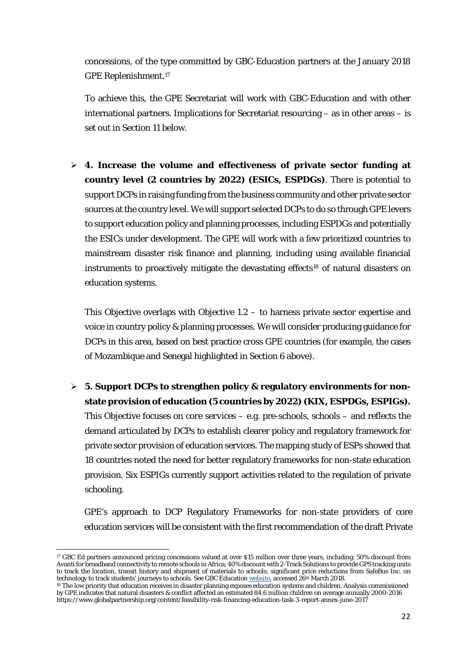concessions, of the type committed by GBC-Education partners at the January 2018 GPE Replenishment.[17](#page-25-0)

To achieve this, the GPE Secretariat will work with GBC-Education and with other international partners. Implications for Secretariat resourcing  $-$  as in other areas  $-$  is set out in Section 11 below.

 **4. Increase the volume and effectiveness of private sector funding at country level (2 countries by 2022) (ESICs, ESPDGs)**. There is potential to support DCPs in raising funding from the business community and other private sector sources at the country level. We will support selected DCPs to do so through GPE levers to support education policy and planning processes, including ESPDGs and potentially the ESICs under development. The GPE will work with a few prioritized countries to mainstream disaster risk finance and planning, including using available financial instruments to proactively mitigate the devastating effects<sup>[18](#page-25-1)</sup> of natural disasters on education systems.

This Objective overlaps with Objective 1.2 – to harness private sector expertise and voice in country policy & planning processes. We will consider producing guidance for DCPs in this area, based on best practice cross GPE countries (for example, the cases of Mozambique and Senegal highlighted in Section 6 above).

 **5. Support DCPs to strengthen policy & regulatory environments for nonstate provision of education (5 countries by 2022) (KIX, ESPDGs, ESPIGs).**  This Objective focuses on *core services* – e.g. pre-schools, schools – and reflects the demand articulated by DCPs to establish clearer policy and regulatory framework for private sector provision of education services. The mapping study of ESPs showed that 18 countries noted the need for better regulatory frameworks for non-state education provision. Six ESPIGs currently support activities related to the regulation of private schooling.

GPE's approach to DCP Regulatory Frameworks for non-state providers of core education services will be consistent with the first recommendation of the draft Private

 $\overline{a}$ 

<span id="page-25-0"></span> $17$  GBC Ed partners announced pricing concessions valued at over \$15 million over three years, including:  $50\%$  discount from Avanti for broadband connectivity to remote schools in Africa; 40% discount with 2-Track Solutions to provide GPS tracking units to track the location, transit history and shipment of materials to schools; significant price reductions from SafeBus Inc. on technology to track students' journeys to schools. See GBC Educatio[n website,](http://gbc-education.org/gpe-commitment/) accessed 26<sup>th</sup> March 2018.

<span id="page-25-1"></span><sup>&</sup>lt;sup>18</sup> The low priority that education receives in disaster planning exposes education systems and children. Analysis commissioned by GPE indicates that natural disasters & conflict affected an estimated 84.6 million children on average annually 2000-2016 https://www.globalpartnership.org/content/feasibility-risk-financing-education-task-3-report-annex-june-2017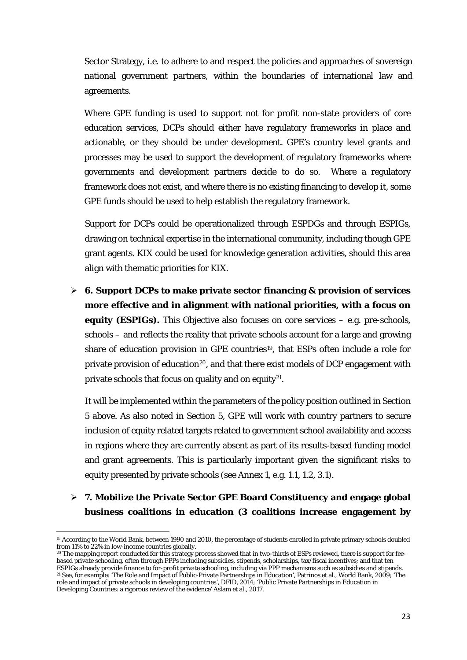Sector Strategy, i.e. to adhere to and respect the policies and approaches of sovereign national government partners, within the boundaries of international law and agreements.

Where GPE funding is used to support not for profit non-state providers of core education services, DCPs should either have regulatory frameworks in place and actionable, or they should be under development. GPE's country level grants and processes may be used to support the development of regulatory frameworks where governments and development partners decide to do so. Where a regulatory framework does not exist, and where there is no existing financing to develop it, some GPE funds should be used to help establish the regulatory framework.

Support for DCPs could be operationalized through ESPDGs and through ESPIGs, drawing on technical expertise in the international community, including though GPE grant agents. KIX could be used for knowledge generation activities, should this area align with thematic priorities for KIX.

 **6. Support DCPs to make private sector financing & provision of services more effective and in alignment with national priorities, with a focus on equity (ESPIGs).** This Objective also focuses on *core services* – e.g. pre-schools, schools – and reflects the reality that private schools account for a large and growing share of education provision in GPE countries<sup>[19](#page-26-0)</sup>, that ESPs often include a role for private provision of education<sup>[20](#page-26-1)</sup>, and that there exist models of DCP engagement with private schools that focus on quality and on equity<sup>21</sup>.

It will be implemented within the parameters of the policy position outlined in Section 5 above. As also noted in Section 5, GPE will work with country partners to secure inclusion of equity related targets related to government school availability and access in regions where they are currently absent as part of its results-based funding model and grant agreements. This is particularly important given the significant risks to equity presented by private schools (see Annex 1, e.g. 1.1, 1.2, 3.1).

# **7. Mobilize the Private Sector GPE Board Constituency and engage global business coalitions in education (3 coalitions increase engagement by**

<span id="page-26-0"></span><sup>&</sup>lt;u>.</u> <sup>19</sup> According to the World Bank, between 1990 and 2010, the percentage of students enrolled in private primary schools doubled from 11% to 22% in low-income countries globally.

<span id="page-26-2"></span><span id="page-26-1"></span><sup>&</sup>lt;sup>20</sup> The mapping report conducted for this strategy process showed that in two-thirds of ESPs reviewed, there is support for feebased private schooling, often through PPPs including subsidies, stipends, scholarships, tax/fiscal incentives; and that ten ESPIGs already provide finance to for-profit private schooling, including via PPP mechanisms such as subsidies and stipends. <sup>21</sup> See, for example: 'The Role and Impact of Public-Private Partnerships in Education', Patrinos et al., World Bank, 2009; 'The role and impact of private schools in developing countries', DFID, 2014; 'Public Private Partnerships in Education in Developing Countries: a rigorous review of the evidence' Aslam et al., 2017.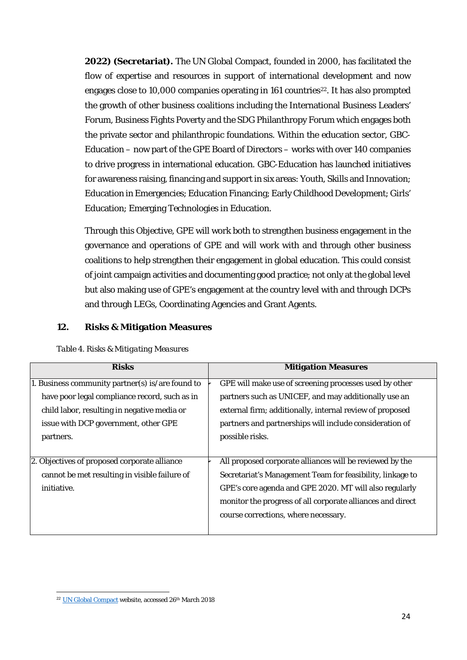**2022) (Secretariat).** The UN Global Compact, founded in 2000, has facilitated the flow of expertise and resources in support of international development and now engages close to 10,000 companies operating in 161 countries<sup>[22](#page-27-0)</sup>. It has also prompted the growth of other business coalitions including the International Business Leaders' Forum, Business Fights Poverty and the SDG Philanthropy Forum which engages both the private sector and philanthropic foundations. Within the education sector, GBC-Education – now part of the GPE Board of Directors – works with over 140 companies to drive progress in international education. GBC-Education has launched initiatives for awareness raising, financing and support in six areas: Youth, Skills and Innovation; Education in Emergencies; Education Financing; Early Childhood Development; Girls' Education; Emerging Technologies in Education.

Through this Objective, GPE will work both to strengthen business engagement in the governance and operations of GPE and will work with and through other business coalitions to help strengthen their engagement in global education. This could consist of joint campaign activities and documenting good practice; not only at the global level but also making use of GPE's engagement at the country level with and through DCPs and through LEGs, Coordinating Agencies and Grant Agents.

#### **12. Risks & Mitigation Measures**

| <b>Risks</b>                                     | <b>Mitigation Measures</b>                                 |
|--------------------------------------------------|------------------------------------------------------------|
| 1. Business community partner(s) is/are found to | GPE will make use of screening processes used by other     |
| have poor legal compliance record, such as in    | partners such as UNICEF, and may additionally use an       |
| child labor, resulting in negative media or      | external firm; additionally, internal review of proposed   |
| issue with DCP government, other GPE             | partners and partnerships will include consideration of    |
| partners.                                        | possible risks.                                            |
|                                                  |                                                            |
| 2. Objectives of proposed corporate alliance     | All proposed corporate alliances will be reviewed by the   |
| cannot be met resulting in visible failure of    | Secretariat's Management Team for feasibility, linkage to  |
| initiative.                                      | GPE's core agenda and GPE 2020. MT will also regularly     |
|                                                  | monitor the progress of all corporate alliances and direct |
|                                                  | course corrections, where necessary.                       |
|                                                  |                                                            |

*Table 4. Risks & Mitigating Measures*

<span id="page-27-0"></span> $\overline{a}$ <sup>22</sup> [UN Global Compact](https://www.unglobalcompact.org/) website, accessed 26<sup>th</sup> March 2018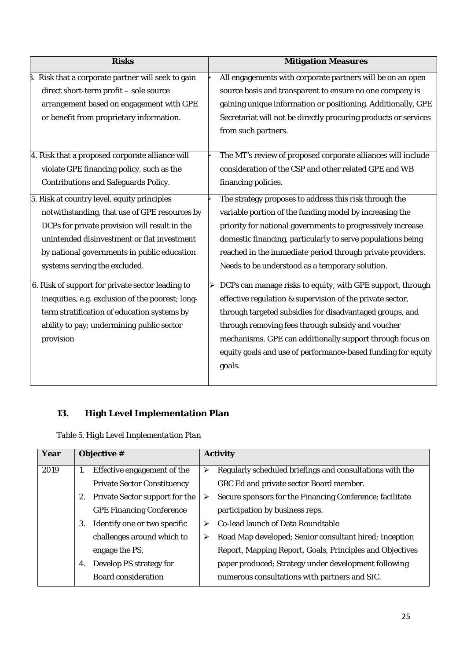| <b>Risks</b>                                                                                                                                                                                                                                                                 | <b>Mitigation Measures</b>                                                                                                                                                                                                                                                                                                                                                                               |
|------------------------------------------------------------------------------------------------------------------------------------------------------------------------------------------------------------------------------------------------------------------------------|----------------------------------------------------------------------------------------------------------------------------------------------------------------------------------------------------------------------------------------------------------------------------------------------------------------------------------------------------------------------------------------------------------|
| Risk that a corporate partner will seek to gain<br>direct short-term profit - sole source<br>arrangement based on engagement with GPE<br>or benefit from proprietary information.                                                                                            | All engagements with corporate partners will be on an open<br>source basis and transparent to ensure no one company is<br>gaining unique information or positioning. Additionally, GPE<br>Secretariat will not be directly procuring products or services<br>from such partners.                                                                                                                         |
| 4. Risk that a proposed corporate alliance will<br>violate GPE financing policy, such as the<br><b>Contributions and Safeguards Policy.</b>                                                                                                                                  | The MT's review of proposed corporate alliances will include<br>consideration of the CSP and other related GPE and WB<br>financing policies.                                                                                                                                                                                                                                                             |
| 5. Risk at country level, equity principles<br>notwithstanding, that use of GPE resources by<br>DCPs for private provision will result in the<br>unintended disinvestment or flat investment<br>by national governments in public education<br>systems serving the excluded. | The strategy proposes to address this risk through the<br>variable portion of the funding model by increasing the<br>priority for national governments to progressively increase<br>domestic financing, particularly to serve populations being<br>reached in the immediate period through private providers.<br>Needs to be understood as a temporary solution.                                         |
| 6. Risk of support for private sector leading to<br>inequities, e.g. exclusion of the poorest; long-<br>term stratification of education systems by<br>ability to pay; undermining public sector<br>provision                                                                | DCPs can manage risks to equity, with GPE support, through<br>$\blacktriangleright$<br>effective regulation & supervision of the private sector,<br>through targeted subsidies for disadvantaged groups, and<br>through removing fees through subsidy and voucher<br>mechanisms. GPE can additionally support through focus on<br>equity goals and use of performance-based funding for equity<br>goals. |

# **13. High Level Implementation Plan**

*Table 5. High Level Implementation Plan*

| Year |    | Objective #                        |   | <b>Activity</b>                                          |
|------|----|------------------------------------|---|----------------------------------------------------------|
| 2019 | 1. | Effective engagement of the        | ➤ | Regularly scheduled briefings and consultations with the |
|      |    | <b>Private Sector Constituency</b> |   | GBC Ed and private sector Board member.                  |
|      | 2. | Private Sector support for the     | ➤ | Secure sponsors for the Financing Conference; facilitate |
|      |    | <b>GPE Financing Conference</b>    |   | participation by business reps.                          |
|      | 3. | Identify one or two specific       | ➤ | Co-lead launch of Data Roundtable                        |
|      |    | challenges around which to         | ≻ | Road Map developed; Senior consultant hired; Inception   |
|      |    | engage the PS.                     |   | Report, Mapping Report, Goals, Principles and Objectives |
|      | 4. | Develop PS strategy for            |   | paper produced; Strategy under development following     |
|      |    | <b>Board consideration</b>         |   | numerous consultations with partners and SIC.            |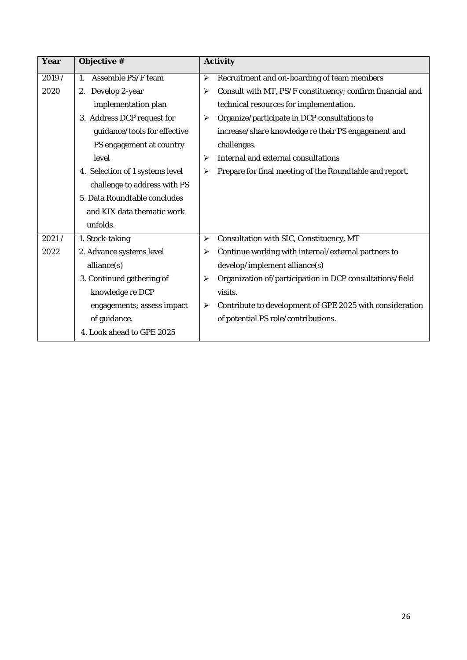| Year   | Objective #                     | <b>Activity</b>                                                |  |
|--------|---------------------------------|----------------------------------------------------------------|--|
| 2019 / | Assemble PS/F team<br>1.        | Recruitment and on-boarding of team members<br>➤               |  |
| 2020   | 2. Develop 2-year               | Consult with MT, PS/F constituency; confirm financial and<br>➤ |  |
|        | implementation plan             | technical resources for implementation.                        |  |
|        | 3. Address DCP request for      | Organize/participate in DCP consultations to<br>➤              |  |
|        | guidance/tools for effective    | increase/share knowledge re their PS engagement and            |  |
|        | PS engagement at country        | challenges.                                                    |  |
|        | level                           | Internal and external consultations<br>➤                       |  |
|        | 4. Selection of 1 systems level | Prepare for final meeting of the Roundtable and report.<br>⋗   |  |
|        | challenge to address with PS    |                                                                |  |
|        | 5. Data Roundtable concludes    |                                                                |  |
|        | and KIX data thematic work      |                                                                |  |
|        | unfolds.                        |                                                                |  |
| 2021/  | 1. Stock-taking                 | Consultation with SIC, Constituency, MT<br>➤                   |  |
| 2022   | 2. Advance systems level        | Continue working with internal/external partners to<br>⋗       |  |
|        | alliance(s)                     | develop/implement alliance(s)                                  |  |
|        | 3. Continued gathering of       | Organization of/participation in DCP consultations/field<br>⋗  |  |
|        | knowledge re DCP                | visits.                                                        |  |
|        | engagements; assess impact      | Contribute to development of GPE 2025 with consideration<br>➤  |  |
|        | of guidance.                    | of potential PS role/contributions.                            |  |
|        | 4. Look ahead to GPE 2025       |                                                                |  |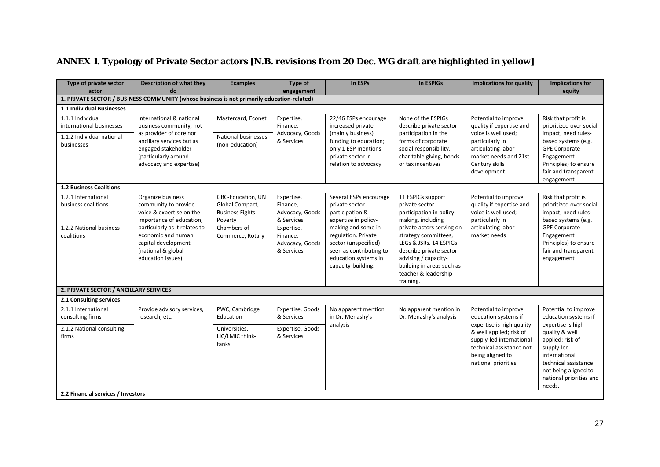# **ANNEX 1. Typology of Private Sector actors [N.B. revisions from 20 Dec. WG draft are highlighted in yellow]**

| Type of private sector                                                                                                                         | Description of what they<br>do                                                                                                                                                                                             | <b>Examples</b>                                                                                              | Type of                                                                                                            | In ESPs                                                                                                                                                                                                                           | In ESPIGs                                                                                                                                                                                                                                                                   | <b>Implications for quality</b>                                                                                                                                                                         | <b>Implications for</b>                                                                                                                                                                                                     |
|------------------------------------------------------------------------------------------------------------------------------------------------|----------------------------------------------------------------------------------------------------------------------------------------------------------------------------------------------------------------------------|--------------------------------------------------------------------------------------------------------------|--------------------------------------------------------------------------------------------------------------------|-----------------------------------------------------------------------------------------------------------------------------------------------------------------------------------------------------------------------------------|-----------------------------------------------------------------------------------------------------------------------------------------------------------------------------------------------------------------------------------------------------------------------------|---------------------------------------------------------------------------------------------------------------------------------------------------------------------------------------------------------|-----------------------------------------------------------------------------------------------------------------------------------------------------------------------------------------------------------------------------|
| actor                                                                                                                                          | 1. PRIVATE SECTOR / BUSINESS COMMUNITY (whose business is not primarily education-related)                                                                                                                                 |                                                                                                              | engagement                                                                                                         |                                                                                                                                                                                                                                   |                                                                                                                                                                                                                                                                             |                                                                                                                                                                                                         | equity                                                                                                                                                                                                                      |
| <b>1.1 Individual Businesses</b>                                                                                                               |                                                                                                                                                                                                                            |                                                                                                              |                                                                                                                    |                                                                                                                                                                                                                                   |                                                                                                                                                                                                                                                                             |                                                                                                                                                                                                         |                                                                                                                                                                                                                             |
| 1.1.1 Individual<br>international businesses<br>1.1.2 Individual national<br>businesses                                                        | International & national<br>business community, not<br>as provider of core nor<br>ancillary services but as<br>engaged stakeholder<br>(particularly around<br>advocacy and expertise)                                      | Mastercard, Econet<br>National businesses<br>(non-education)                                                 | Expertise,<br>Finance.<br>Advocacy, Goods<br>& Services                                                            | 22/46 ESPs encourage<br>increased private<br>(mainly business)<br>funding to education;<br>only 1 ESP mentions<br>private sector in<br>relation to advocacy                                                                       | None of the ESPIGs<br>describe private sector<br>participation in the<br>forms of corporate<br>social responsibility,<br>charitable giving, bonds<br>or tax incentives                                                                                                      | Potential to improve<br>quality if expertise and<br>voice is well used;<br>particularly in<br>articulating labor<br>market needs and 21st<br>Century skills<br>development.                             | Risk that profit is<br>prioritized over social<br>impact; need rules-<br>based systems (e.g.<br><b>GPE Corporate</b><br>Engagement<br>Principles) to ensure<br>fair and transparent<br>engagement                           |
| <b>1.2 Business Coalitions</b>                                                                                                                 |                                                                                                                                                                                                                            |                                                                                                              |                                                                                                                    |                                                                                                                                                                                                                                   |                                                                                                                                                                                                                                                                             |                                                                                                                                                                                                         |                                                                                                                                                                                                                             |
| 1.2.1 International<br>business coalitions<br>1.2.2 National business<br>coalitions                                                            | Organize business<br>community to provide<br>voice & expertise on the<br>importance of education,<br>particularly as it relates to<br>economic and human<br>capital development<br>(national & global<br>education issues) | GBC-Education, UN<br>Global Compact,<br><b>Business Fights</b><br>Poverty<br>Chambers of<br>Commerce, Rotary | Expertise,<br>Finance.<br>Advocacy, Goods<br>& Services<br>Expertise,<br>Finance,<br>Advocacy, Goods<br>& Services | Several ESPs encourage<br>private sector<br>participation &<br>expertise in policy-<br>making and some in<br>regulation. Private<br>sector (unspecified)<br>seen as contributing to<br>education systems in<br>capacity-building. | 11 ESPIGs support<br>private sector<br>participation in policy-<br>making, including<br>private actors serving on<br>strategy committees,<br>LEGs & JSRs. 14 ESPIGs<br>describe private sector<br>advising / capacity-<br>building in areas such as<br>teacher & leadership | Potential to improve<br>quality if expertise and<br>voice is well used;<br>particularly in<br>articulating labor<br>market needs                                                                        | Risk that profit is<br>prioritized over social<br>impact; need rules-<br>based systems (e.g.<br><b>GPE Corporate</b><br>Engagement<br>Principles) to ensure<br>fair and transparent<br>engagement                           |
| 2. PRIVATE SECTOR / ANCILLARY SERVICES                                                                                                         |                                                                                                                                                                                                                            |                                                                                                              |                                                                                                                    |                                                                                                                                                                                                                                   | training.                                                                                                                                                                                                                                                                   |                                                                                                                                                                                                         |                                                                                                                                                                                                                             |
|                                                                                                                                                |                                                                                                                                                                                                                            |                                                                                                              |                                                                                                                    |                                                                                                                                                                                                                                   |                                                                                                                                                                                                                                                                             |                                                                                                                                                                                                         |                                                                                                                                                                                                                             |
| 2.1 Consulting services<br>2.1.1 International<br>consulting firms<br>2.1.2 National consulting<br>firms<br>2.2 Financial services / Investors | Provide advisory services,<br>research, etc.                                                                                                                                                                               | PWC, Cambridge<br>Education<br>Universities.<br>LIC/LMIC think-<br>tanks                                     | Expertise, Goods<br>& Services<br>Expertise, Goods<br>& Services                                                   | No apparent mention<br>in Dr. Menashy's<br>analysis                                                                                                                                                                               | No apparent mention in<br>Dr. Menashy's analysis                                                                                                                                                                                                                            | Potential to improve<br>education systems if<br>expertise is high quality<br>& well applied; risk of<br>supply-led international<br>technical assistance not<br>being aligned to<br>national priorities | Potential to improve<br>education systems if<br>expertise is high<br>quality & well<br>applied; risk of<br>supply-led<br>international<br>technical assistance<br>not being aligned to<br>national priorities and<br>needs. |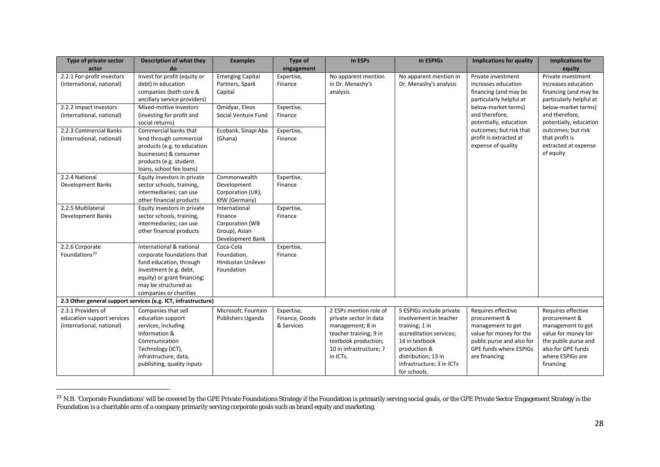<span id="page-31-0"></span>

| <b>Type of private sector</b>                                                 | Description of what they                                                                                                                                                                     | <b>Examples</b>                                                                  | Type of                                    | In ESPs                                                                                                                                                       | In ESPIGs                                                                                                                                                                                             | Implications for quality                                                                                                                                    | <b>Implications for</b>                                                                                                                                        |
|-------------------------------------------------------------------------------|----------------------------------------------------------------------------------------------------------------------------------------------------------------------------------------------|----------------------------------------------------------------------------------|--------------------------------------------|---------------------------------------------------------------------------------------------------------------------------------------------------------------|-------------------------------------------------------------------------------------------------------------------------------------------------------------------------------------------------------|-------------------------------------------------------------------------------------------------------------------------------------------------------------|----------------------------------------------------------------------------------------------------------------------------------------------------------------|
| actor                                                                         | do                                                                                                                                                                                           |                                                                                  | engagement                                 |                                                                                                                                                               |                                                                                                                                                                                                       |                                                                                                                                                             | equity                                                                                                                                                         |
| 2.2.1 For-profit investors<br>(international, national)                       | Invest for profit (equity or<br>debt) in education<br>companies (both core &<br>ancillary service providers)                                                                                 | <b>Emerging Capital</b><br>Partners, Spark<br>Capital                            | Expertise,<br>Finance                      | No apparent mention<br>in Dr. Menashy's<br>analysis                                                                                                           | No apparent mention in<br>Dr. Menashy's analysis                                                                                                                                                      | Private investment<br>increases education<br>financing (and may be<br>particularly helpful at                                                               | Private investment<br>increases education<br>financing (and may be<br>particularly helpful at                                                                  |
| 2.2.2 Impact investors<br>(international, national)                           | Mixed-motive investors<br>(investing for profit and<br>social returns)                                                                                                                       | Omidyar, Eleos<br>Social Venture Fund                                            | Expertise,<br>Finance                      |                                                                                                                                                               |                                                                                                                                                                                                       | below-market terms)<br>and therefore,<br>potentially, education                                                                                             | below-market terms)<br>and therefore,<br>potentially, education                                                                                                |
| 2.2.3 Commercial Banks<br>(international, national)                           | Commercial banks that<br>lend through commercial<br>products (e.g. to education<br>businesses) & consumer<br>products (e.g. student<br>loans, school fee loans)                              | Ecobank, Sinapi Aba<br>(Ghana)                                                   | Expertise,<br>Finance                      |                                                                                                                                                               |                                                                                                                                                                                                       | outcomes; but risk that<br>profit is extracted at<br>expense of quality                                                                                     | outcomes; but risk<br>that profit is<br>extracted at expense<br>of equity                                                                                      |
| 2.2.4 National<br><b>Development Banks</b>                                    | Equity investors in private<br>sector schools, training,<br>intermediaries; can use<br>other financial products                                                                              | Commonwealth<br>Development<br>Corporation (UK),<br>KfW (Germany)                | Expertise,<br>Finance                      |                                                                                                                                                               |                                                                                                                                                                                                       |                                                                                                                                                             |                                                                                                                                                                |
| 2.2.5 Multilateral<br><b>Development Banks</b>                                | Equity investors in private<br>sector schools, training,<br>intermediaries; can use<br>other financial products                                                                              | International<br>Finance<br>Corporation (WB<br>Group), Asian<br>Development Bank | Expertise,<br>Finance                      |                                                                                                                                                               |                                                                                                                                                                                                       |                                                                                                                                                             |                                                                                                                                                                |
| 2.2.6 Corporate<br>Foundations <sup>23</sup>                                  | International & national<br>corporate foundations that<br>fund education, through<br>investment (e.g. debt,<br>equity) or grant financing;<br>may be structured as<br>companies or charities | Coca-Cola<br>Foundation,<br>Hindustan Unilever<br>Foundation                     | Expertise,<br>Finance                      |                                                                                                                                                               |                                                                                                                                                                                                       |                                                                                                                                                             |                                                                                                                                                                |
|                                                                               | 2.3 Other general support services (e.g. ICT, infrastructure)                                                                                                                                |                                                                                  |                                            |                                                                                                                                                               |                                                                                                                                                                                                       |                                                                                                                                                             |                                                                                                                                                                |
| 2.3.1 Providers of<br>education support services<br>(international, national) | Companies that sell<br>education support<br>services, including<br>Information &<br>Communication<br>Technology (ICT),<br>infrastructure, data,<br>publishing, quality inputs                | Microsoft, Fountain<br>Publishers Uganda                                         | Expertise,<br>Finance, Goods<br>& Services | 2 ESPs mention role of<br>private sector in data<br>management; 8 in<br>teacher training; 9 in<br>textbook production;<br>10 in infrastructure; 7<br>in ICTs. | 5 ESPIGs include private<br>involvement in teacher<br>training; 1 in<br>accreditation services;<br>14 in textbook<br>production &<br>distribution; 13 in<br>infrastructure; 3 in ICTs<br>for schools. | Requires effective<br>procurement &<br>management to get<br>value for money for the<br>public purse and also for<br>GPE funds where ESPIGs<br>are financing | Requires effective<br>procurement &<br>management to get<br>value for money for<br>the public purse and<br>also for GPE funds<br>where ESPIGs are<br>financing |

 $^{23}$  N.B. 'Corporate Foundations' will be covered by the GPE Private Foundations Strategy if the Foundation is primarily serving social goals, or the GPE Private Sector Engagement Strategy is the  $^{23}$  N.B. 'Corporate Foundation is a charitable arm of a company primarily serving corporate goals such as brand equity and marketing.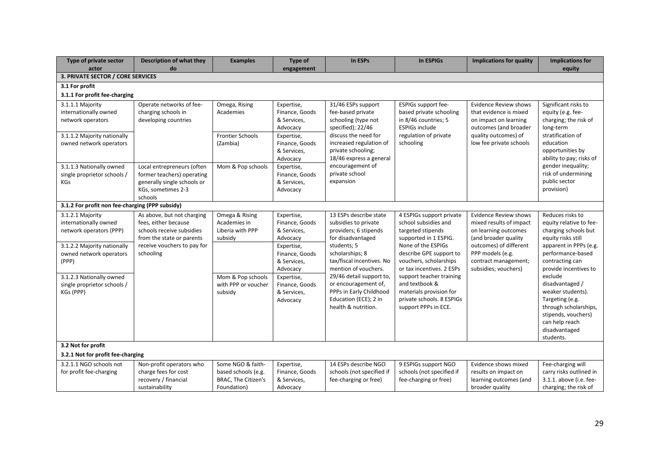| Type of private sector<br>actor                                                                                                                                                                                 | Description of what they<br>do                                                                                                                           | <b>Examples</b>                                                                                                      | Type of<br>engagement                                                                                                                                                         | In ESPs                                                                                                                                                                                                                                                                                                            | <b>In ESPIGs</b>                                                                                                                                                                                                                                                                                                                     | <b>Implications for quality</b>                                                                                                                                                                       | <b>Implications for</b><br>equity                                                                                                                                                                                                                                                                                                                          |
|-----------------------------------------------------------------------------------------------------------------------------------------------------------------------------------------------------------------|----------------------------------------------------------------------------------------------------------------------------------------------------------|----------------------------------------------------------------------------------------------------------------------|-------------------------------------------------------------------------------------------------------------------------------------------------------------------------------|--------------------------------------------------------------------------------------------------------------------------------------------------------------------------------------------------------------------------------------------------------------------------------------------------------------------|--------------------------------------------------------------------------------------------------------------------------------------------------------------------------------------------------------------------------------------------------------------------------------------------------------------------------------------|-------------------------------------------------------------------------------------------------------------------------------------------------------------------------------------------------------|------------------------------------------------------------------------------------------------------------------------------------------------------------------------------------------------------------------------------------------------------------------------------------------------------------------------------------------------------------|
| 3. PRIVATE SECTOR / CORE SERVICES                                                                                                                                                                               |                                                                                                                                                          |                                                                                                                      |                                                                                                                                                                               |                                                                                                                                                                                                                                                                                                                    |                                                                                                                                                                                                                                                                                                                                      |                                                                                                                                                                                                       |                                                                                                                                                                                                                                                                                                                                                            |
| 3.1 For profit                                                                                                                                                                                                  |                                                                                                                                                          |                                                                                                                      |                                                                                                                                                                               |                                                                                                                                                                                                                                                                                                                    |                                                                                                                                                                                                                                                                                                                                      |                                                                                                                                                                                                       |                                                                                                                                                                                                                                                                                                                                                            |
| 3.1.1 For profit fee-charging                                                                                                                                                                                   |                                                                                                                                                          |                                                                                                                      |                                                                                                                                                                               |                                                                                                                                                                                                                                                                                                                    |                                                                                                                                                                                                                                                                                                                                      |                                                                                                                                                                                                       |                                                                                                                                                                                                                                                                                                                                                            |
| 3.1.1.1 Majority<br>internationally owned<br>network operators                                                                                                                                                  | Operate networks of fee-<br>charging schools in<br>developing countries                                                                                  | Omega, Rising<br>Academies                                                                                           | Expertise,<br>Finance, Goods<br>& Services,<br>Advocacy                                                                                                                       | 31/46 ESPs support<br>fee-based private<br>schooling (type not<br>specified); 22/46                                                                                                                                                                                                                                | ESPIGs support fee-<br>based private schooling<br>in 8/46 countries; 5<br><b>ESPIGs include</b>                                                                                                                                                                                                                                      | <b>Evidence Review shows</b><br>that evidence is mixed<br>on impact on learning<br>outcomes (and broader                                                                                              | Significant risks to<br>equity (e.g. fee-<br>charging; the risk of<br>long-term                                                                                                                                                                                                                                                                            |
| 3.1.1.2 Majority nationally<br>owned network operators                                                                                                                                                          |                                                                                                                                                          | <b>Frontier Schools</b><br>(Zambia)                                                                                  | Expertise,<br>Finance, Goods<br>& Services,<br>Advocacy                                                                                                                       | discuss the need for<br>increased regulation of<br>private schooling;<br>18/46 express a general                                                                                                                                                                                                                   | regulation of private<br>schooling                                                                                                                                                                                                                                                                                                   | quality outcomes) of<br>low fee private schools                                                                                                                                                       | stratification of<br>education<br>opportunities by<br>ability to pay; risks of                                                                                                                                                                                                                                                                             |
| 3.1.1.3 Nationally owned<br>single proprietor schools /<br>KGs                                                                                                                                                  | Local entrepreneurs (often<br>former teachers) operating<br>generally single schools or<br>KGs, sometimes 2-3<br>schools                                 | Mom & Pop schools                                                                                                    | Expertise,<br>Finance, Goods<br>& Services,<br>Advocacy                                                                                                                       | encouragement of<br>private school<br>expansion                                                                                                                                                                                                                                                                    |                                                                                                                                                                                                                                                                                                                                      |                                                                                                                                                                                                       | gender inequality;<br>risk of undermining<br>public sector<br>provision)                                                                                                                                                                                                                                                                                   |
| 3.1.2 For profit non fee-charging (PPP subsidy)                                                                                                                                                                 |                                                                                                                                                          |                                                                                                                      |                                                                                                                                                                               |                                                                                                                                                                                                                                                                                                                    |                                                                                                                                                                                                                                                                                                                                      |                                                                                                                                                                                                       |                                                                                                                                                                                                                                                                                                                                                            |
| 3.1.2.1 Majority<br>internationally owned<br>network operators (PPP)<br>3.1.2.2 Majority nationally<br>owned network operators<br>(PPP)<br>3.1.2.3 Nationally owned<br>single proprietor schools /<br>KGs (PPP) | As above, but not charging<br>fees, either because<br>schools receive subsidies<br>from the state or parents<br>receive vouchers to pay for<br>schooling | Omega & Rising<br>Academies in<br>Liberia with PPP<br>subsidy<br>Mom & Pop schools<br>with PPP or voucher<br>subsidy | Expertise,<br>Finance, Goods<br>& Services.<br>Advocacy<br>Expertise,<br>Finance, Goods<br>& Services,<br>Advocacy<br>Expertise,<br>Finance, Goods<br>& Services,<br>Advocacy | 13 ESPs describe state<br>subsidies to private<br>providers; 6 stipends<br>for disadvantaged<br>students; 5<br>scholarships; 8<br>tax/fiscal incentives. No<br>mention of vouchers.<br>29/46 detail support to,<br>or encouragement of,<br>PPPs in Early Childhood<br>Education (ECE); 2 in<br>health & nutrition. | 4 ESPIGs support private<br>school subsidies and<br>targeted stipends<br>supported in 1 ESPIG.<br>None of the ESPIGs<br>describe GPE support to<br>vouchers, scholarships<br>or tax incentives. 2 ESPs<br>support teacher training<br>and textbook &<br>materials provision for<br>private schools. 8 ESPIGs<br>support PPPs in ECE. | <b>Evidence Review shows</b><br>mixed results of impact<br>on learning outcomes<br>(and broader quality<br>outcomes) of different<br>PPP models (e.g.<br>contract management;<br>subsidies; vouchers) | Reduces risks to<br>equity relative to fee-<br>charging schools but<br>equity risks still<br>apparent in PPPs (e.g.<br>performance-based<br>contracting can<br>provide incentives to<br>exclude<br>disadvantaged /<br>weaker students).<br>Targeting (e.g.<br>through scholarships,<br>stipends, vouchers)<br>can help reach<br>disadvantaged<br>students. |
| 3.2 Not for profit                                                                                                                                                                                              |                                                                                                                                                          |                                                                                                                      |                                                                                                                                                                               |                                                                                                                                                                                                                                                                                                                    |                                                                                                                                                                                                                                                                                                                                      |                                                                                                                                                                                                       |                                                                                                                                                                                                                                                                                                                                                            |
| 3.2.1 Not for profit fee-charging                                                                                                                                                                               |                                                                                                                                                          |                                                                                                                      |                                                                                                                                                                               |                                                                                                                                                                                                                                                                                                                    |                                                                                                                                                                                                                                                                                                                                      |                                                                                                                                                                                                       |                                                                                                                                                                                                                                                                                                                                                            |
| 3.2.1.1 NGO schools not<br>for profit fee-charging                                                                                                                                                              | Non-profit operators who<br>charge fees for cost<br>recovery / financial<br>sustainability                                                               | Some NGO & faith-<br>based schools (e.g.<br><b>BRAC, The Citizen's</b><br>Foundation)                                | Expertise,<br>Finance, Goods<br>& Services,<br>Advocacy                                                                                                                       | 14 ESPs describe NGO<br>schools (not specified if<br>fee-charging or free)                                                                                                                                                                                                                                         | 9 ESPIGs support NGO<br>schools (not specified if<br>fee-charging or free)                                                                                                                                                                                                                                                           | Evidence shows mixed<br>results on impact on<br>learning outcomes (and<br>broader quality                                                                                                             | Fee-charging will<br>carry risks outlined in<br>3.1.1. above (i.e. fee-<br>charging; the risk of                                                                                                                                                                                                                                                           |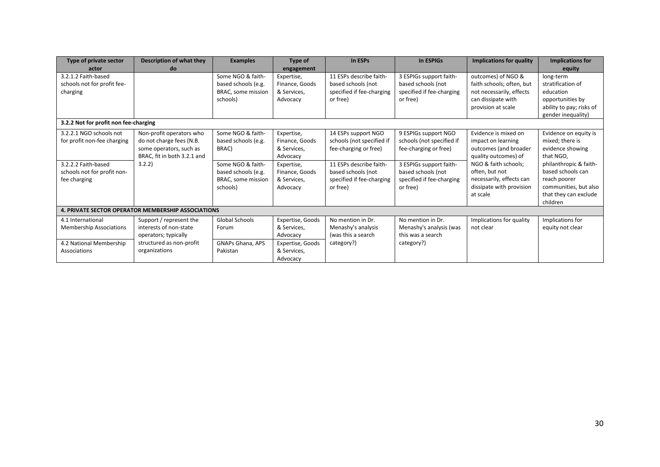| Type of private sector                                                                                                       | Description of what they                                                                                                 | <b>Examples</b>                                                                                                                        | Type of                                                                                                            | In ESPs                                                                                                                                                             | In ESPIGs                                                                                                                                                            | Implications for quality                                                                                                                                                                                  | <b>Implications for</b>                                                                                                                                                                    |
|------------------------------------------------------------------------------------------------------------------------------|--------------------------------------------------------------------------------------------------------------------------|----------------------------------------------------------------------------------------------------------------------------------------|--------------------------------------------------------------------------------------------------------------------|---------------------------------------------------------------------------------------------------------------------------------------------------------------------|----------------------------------------------------------------------------------------------------------------------------------------------------------------------|-----------------------------------------------------------------------------------------------------------------------------------------------------------------------------------------------------------|--------------------------------------------------------------------------------------------------------------------------------------------------------------------------------------------|
| actor                                                                                                                        | do                                                                                                                       |                                                                                                                                        | engagement                                                                                                         |                                                                                                                                                                     |                                                                                                                                                                      |                                                                                                                                                                                                           | equity                                                                                                                                                                                     |
| 3.2.1.2 Faith-based<br>schools not for profit fee-<br>charging                                                               |                                                                                                                          | Some NGO & faith-<br>based schools (e.g.<br>BRAC, some mission<br>schools)                                                             | Expertise,<br>Finance, Goods<br>& Services,<br>Advocacy                                                            | 11 ESPs describe faith-<br>based schools (not<br>specified if fee-charging<br>or free)                                                                              | 3 ESPIGs support faith-<br>based schools (not<br>specified if fee-charging<br>or free)                                                                               | outcomes) of NGO &<br>faith schools; often, but<br>not necessarily, effects<br>can dissipate with                                                                                                         | long-term<br>stratification of<br>education<br>opportunities by                                                                                                                            |
|                                                                                                                              |                                                                                                                          |                                                                                                                                        |                                                                                                                    |                                                                                                                                                                     |                                                                                                                                                                      | provision at scale                                                                                                                                                                                        | ability to pay; risks of<br>gender inequality)                                                                                                                                             |
| 3.2.2 Not for profit non fee-charging                                                                                        |                                                                                                                          |                                                                                                                                        |                                                                                                                    |                                                                                                                                                                     |                                                                                                                                                                      |                                                                                                                                                                                                           |                                                                                                                                                                                            |
| 3.2.2.1 NGO schools not<br>for profit non-fee charging<br>3.2.2.2 Faith-based<br>schools not for profit non-<br>fee charging | Non-profit operators who<br>do not charge fees (N.B.<br>some operators, such as<br>BRAC, fit in both 3.2.1 and<br>3.2.2) | Some NGO & faith-<br>based schools (e.g.<br>BRAC)<br>Some NGO & faith-<br>based schools (e.g.<br><b>BRAC, some mission</b><br>schools) | Expertise,<br>Finance, Goods<br>& Services,<br>Advocacy<br>Expertise,<br>Finance, Goods<br>& Services.<br>Advocacy | 14 ESPs support NGO<br>schools (not specified if<br>fee-charging or free)<br>11 ESPs describe faith-<br>based schools (not<br>specified if fee-charging<br>or free) | 9 ESPIGs support NGO<br>schools (not specified if<br>fee-charging or free)<br>3 ESPIGs support faith-<br>based schools (not<br>specified if fee-charging<br>or free) | Evidence is mixed on<br>impact on learning<br>outcomes (and broader<br>quality outcomes) of<br>NGO & faith schools;<br>often, but not<br>necessarily, effects can<br>dissipate with provision<br>at scale | Evidence on equity is<br>mixed; there is<br>evidence showing<br>that NGO,<br>philanthropic & faith-<br>based schools can<br>reach poorer<br>communities, but also<br>that they can exclude |
|                                                                                                                              |                                                                                                                          |                                                                                                                                        |                                                                                                                    |                                                                                                                                                                     |                                                                                                                                                                      |                                                                                                                                                                                                           | children                                                                                                                                                                                   |
| <b>4. PRIVATE SECTOR OPERATOR MEMBERSHIP ASSOCIATIONS</b>                                                                    |                                                                                                                          |                                                                                                                                        |                                                                                                                    |                                                                                                                                                                     |                                                                                                                                                                      |                                                                                                                                                                                                           |                                                                                                                                                                                            |
| 4.1 International<br><b>Membership Associations</b>                                                                          | Support / represent the<br>interests of non-state<br>operators; typically                                                | Global Schools<br>Forum                                                                                                                | Expertise, Goods<br>& Services.<br>Advocacy                                                                        | No mention in Dr.<br>Menashy's analysis<br>(was this a search                                                                                                       | No mention in Dr.<br>Menashy's analysis (was<br>this was a search                                                                                                    | Implications for quality<br>not clear                                                                                                                                                                     | Implications for<br>equity not clear                                                                                                                                                       |
| 4.2 National Membership<br>Associations                                                                                      | structured as non-profit<br>organizations                                                                                | GNAPs Ghana, APS<br>Pakistan                                                                                                           | Expertise, Goods<br>& Services,<br>Advocacy                                                                        | category?)                                                                                                                                                          | category?)                                                                                                                                                           |                                                                                                                                                                                                           |                                                                                                                                                                                            |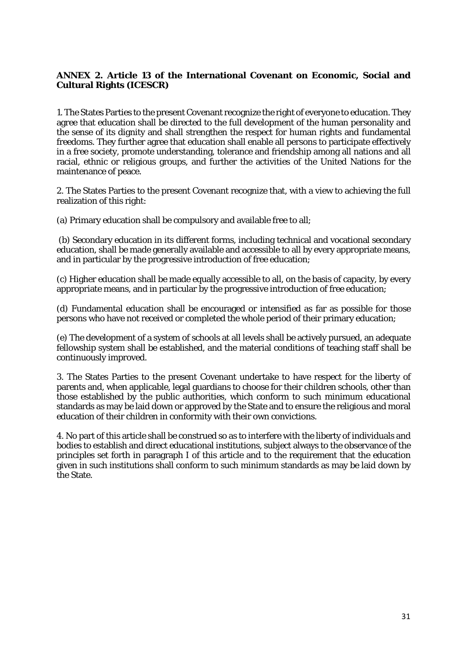#### **ANNEX 2. Article 13 of the International Covenant on Economic, Social and Cultural Rights (ICESCR)**

1. The States Parties to the present Covenant recognize the right of everyone to education. They agree that education shall be directed to the full development of the human personality and the sense of its dignity and shall strengthen the respect for human rights and fundamental freedoms. They further agree that education shall enable all persons to participate effectively in a free society, promote understanding, tolerance and friendship among all nations and all racial, ethnic or religious groups, and further the activities of the United Nations for the maintenance of peace.

2. The States Parties to the present Covenant recognize that, with a view to achieving the full realization of this right:

(a) Primary education shall be compulsory and available free to all;

(b) Secondary education in its different forms, including technical and vocational secondary education, shall be made generally available and accessible to all by every appropriate means, and in particular by the progressive introduction of free education;

(c) Higher education shall be made equally accessible to all, on the basis of capacity, by every appropriate means, and in particular by the progressive introduction of free education;

(d) Fundamental education shall be encouraged or intensified as far as possible for those persons who have not received or completed the whole period of their primary education;

(e) The development of a system of schools at all levels shall be actively pursued, an adequate fellowship system shall be established, and the material conditions of teaching staff shall be continuously improved.

3. The States Parties to the present Covenant undertake to have respect for the liberty of parents and, when applicable, legal guardians to choose for their children schools, other than those established by the public authorities, which conform to such minimum educational standards as may be laid down or approved by the State and to ensure the religious and moral education of their children in conformity with their own convictions.

4. No part of this article shall be construed so as to interfere with the liberty of individuals and bodies to establish and direct educational institutions, subject always to the observance of the principles set forth in paragraph I of this article and to the requirement that the education given in such institutions shall conform to such minimum standards as may be laid down by the State.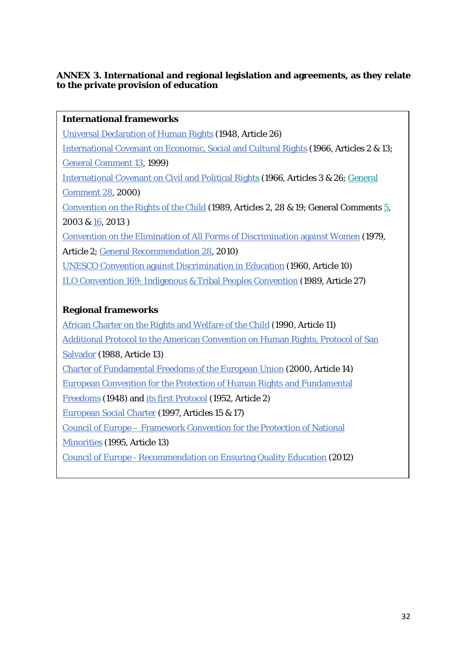## **ANNEX 3. International and regional legislation and agreements, as they relate to the private provision of education**

| <b>International frameworks</b>                                                                   |
|---------------------------------------------------------------------------------------------------|
| <b>Universal Declaration of Human Rights (1948, Article 26)</b>                                   |
| <b>International Covenant on Economic, Social and Cultural Rights (1966, Articles 2 &amp; 13;</b> |
| General Comment 13, 1999)                                                                         |
| International Covenant on Civil and Political Rights (1966, Articles 3 & 26; General              |
| <b>Comment 28, 2000)</b>                                                                          |
| Convention on the Rights of the Child (1989, Articles 2, 28 & 19; General Comments 5,             |
| 2003 & 16, 2013)                                                                                  |
| Convention on the Elimination of All Forms of Discrimination against Women (1979,                 |
| Article 2; General Recommendation 28, 2010)                                                       |
| <b>UNESCO Convention against Discrimination in Education (1960, Article 10)</b>                   |
| <b>ILO Convention 169: Indigenous &amp; Tribal Peoples Convention (1989, Article 27)</b>          |
|                                                                                                   |
| <b>Regional frameworks</b>                                                                        |

[African Charter on the Rights and Welfare of the Child](http://www.achpr.org/instruments/child/) (1990, Article 11) [Additional Protocol to the American Convention on Human Rights, Protocol of San](http://www.refworld.org/docid/3ae6b3b90.html)  [Salvador](http://www.refworld.org/docid/3ae6b3b90.html) (1988, Article 13) [Charter of Fundamental Freedoms of the European Union](http://www.right-to-education.org/resource/charter-fundamental-rights-european-union) (2000, Article 14) [European Convention for the Protection of Human Rights and Fundamental](http://www.coe.int/fr/web/conventions/full-list/-/conventions/rms/0900001680063765)  [Freedoms](http://www.coe.int/fr/web/conventions/full-list/-/conventions/rms/0900001680063765) (1948) and [its first Protocol](http://www.echr.coe.int/Documents/Convention_ENG.pdf) (1952, Article 2) [European Social Charter](https://rm.coe.int/CoERMPublicCommonSearchServices/DisplayDCTMContent?documentId=090000168007cde2) (1997, Articles 15 & 17) Council of Europe – Framework Convention [for the Protection of National](http://www.coe.int/web/conventions/full-list/-/conventions/treaty/157)  [Minorities](http://www.coe.int/web/conventions/full-list/-/conventions/treaty/157) (1995, Article 13) Council of Europe - [Recommendation on Ensuring Quality Education](https://wcd.coe.int/ViewDoc.jsp?id=2014671&Site=CM) (2012)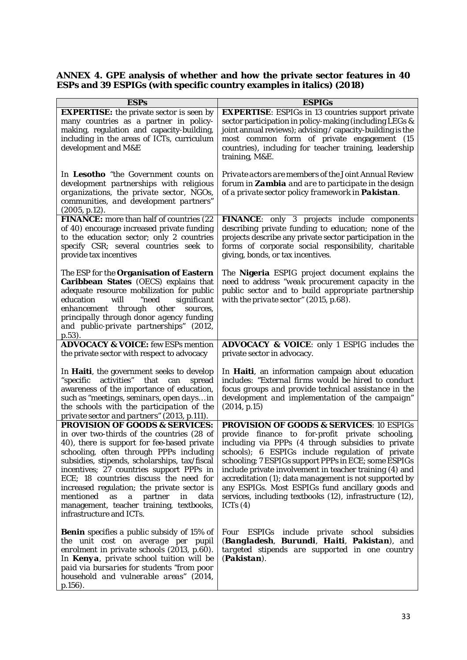#### **ANNEX 4. GPE analysis of whether and how the private sector features in 40 ESPs and 39 ESPIGs (with specific country examples in italics) (2018)**

| <b>ESPs</b>                                                                                                                                                                                                                                                                                                                                                                                                                                                                                      | <b>ESPIGs</b>                                                                                                                                                                                                                                                                                                                                                                                                                                                                                                                |
|--------------------------------------------------------------------------------------------------------------------------------------------------------------------------------------------------------------------------------------------------------------------------------------------------------------------------------------------------------------------------------------------------------------------------------------------------------------------------------------------------|------------------------------------------------------------------------------------------------------------------------------------------------------------------------------------------------------------------------------------------------------------------------------------------------------------------------------------------------------------------------------------------------------------------------------------------------------------------------------------------------------------------------------|
| <b>EXPERTISE:</b> the private sector is seen by<br>many countries as a partner in policy-<br>making, regulation and capacity-building,<br>including in the areas of ICTs, curriculum<br>development and M&E                                                                                                                                                                                                                                                                                      | <b>EXPERTISE:</b> ESPIGs in 13 countries support private<br>sector participation in policy-making (including LEGs &<br>joint annual reviews); advising / capacity-building is the<br>most common form of private engagement (15<br>countries), including for teacher training, leadership<br>training, M&E.                                                                                                                                                                                                                  |
| In Lesotho "the Government counts on<br>development partnerships with religious<br>organizations, the private sector, NGOs,<br>communities, and development partners"<br>(2005, p.12).                                                                                                                                                                                                                                                                                                           | Private actors are members of the Joint Annual Review<br>forum in Zambia and are to participate in the design<br>of a private sector policy framework in Pakistan.                                                                                                                                                                                                                                                                                                                                                           |
| <b>FINANCE:</b> more than half of countries (22)<br>of 40) encourage increased private funding<br>to the education sector; only 2 countries<br>specify CSR; several countries seek to<br>provide tax incentives                                                                                                                                                                                                                                                                                  | <b>FINANCE:</b> only 3 projects include components<br>describing private funding to education; none of the<br>projects describe any private sector participation in the<br>forms of corporate social responsibility, charitable<br>giving, bonds, or tax incentives.                                                                                                                                                                                                                                                         |
| The ESP for the Organisation of Eastern<br>Caribbean States (OECS) explains that<br>adequate resource mobilization for public<br>education<br>will<br>"need<br>significant<br>through<br>other<br>enhancement<br>sources,<br>principally through donor agency funding<br>and public-private partnerships" (2012,<br>$p.53$ ).                                                                                                                                                                    | The Nigeria ESPIG project document explains the<br>need to address "weak procurement capacity in the<br>public sector and to build appropriate partnership<br>with the private sector" (2015, p.68).                                                                                                                                                                                                                                                                                                                         |
| <b>ADVOCACY &amp; VOICE:</b> few ESPs mention<br>the private sector with respect to advocacy                                                                                                                                                                                                                                                                                                                                                                                                     | <b>ADVOCACY &amp; VOICE:</b> only 1 ESPIG includes the<br>private sector in advocacy.                                                                                                                                                                                                                                                                                                                                                                                                                                        |
| In <b>Haiti</b> , the government seeks to develop<br>"specific<br>activities"<br>spread<br>that<br>can<br>awareness of the importance of education,<br>such as "meetings, seminars, open days in<br>the schools with the participation of the<br>private sector and partners" (2013, p.111).                                                                                                                                                                                                     | In Haiti, an information campaign about education<br>includes: "External firms would be hired to conduct<br>focus groups and provide technical assistance in the<br>development and implementation of the campaign"<br>(2014, p.15)                                                                                                                                                                                                                                                                                          |
| <b>PROVISION OF GOODS &amp; SERVICES:</b><br>in over two-thirds of the countries (28 of<br>40), there is support for fee-based private<br>schooling, often through PPPs including<br>subsidies, stipends, scholarships, tax/fiscal<br>incentives; 27 countries support PPPs in<br>ECE; 18 countries discuss the need for<br>increased regulation; the private sector is<br>mentioned<br>partner<br>data<br>as<br>in<br>a<br>management, teacher training, textbooks,<br>infrastructure and ICTs. | <b>PROVISION OF GOODS &amp; SERVICES: 10 ESPIGS</b><br>provide finance to for-profit private schooling,<br>including via PPPs (4 through subsidies to private<br>schools); 6 ESPIGs include regulation of private<br>schooling; 7 ESPIGs support PPPs in ECE; some ESPIGs<br>include private involvement in teacher training (4) and<br>accreditation (1); data management is not supported by<br>any ESPIGs. Most ESPIGs fund ancillary goods and<br>services, including textbooks (12), infrastructure (12),<br>ICTs $(4)$ |
| <b>Benin</b> specifies a public subsidy of 15% of<br>the unit cost on average per pupil<br>enrolment in private schools (2013, p.60).<br>In <b>Kenya</b> , private school tuition will be<br>paid via bursaries for students "from poor<br>household and vulnerable areas" (2014,<br>p.156).                                                                                                                                                                                                     | Four ESPIGs include private school subsidies<br>(Bangladesh, Burundi, Haiti, Pakistan), and<br>targeted stipends are supported in one country<br>(Pakistan).                                                                                                                                                                                                                                                                                                                                                                 |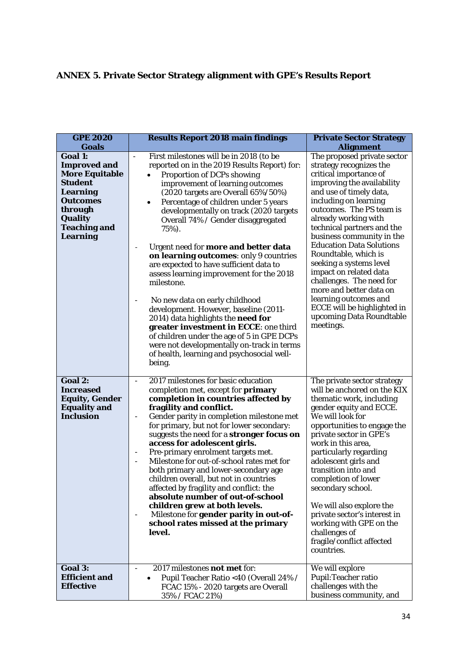# **ANNEX 5. Private Sector Strategy alignment with GPE's Results Report**

| <b>GPE 2020</b>                                                                                                                                                                                 | <b>Results Report 2018 main findings</b>                                                                                                                                                                                                                                                                                                                                                                                                                                                                                                                                                                                                                                                                                                                       | <b>Private Sector Strategy</b>                                                                                                                                                                                                                                                                                                                                                                                                                                                                                                                                                |
|-------------------------------------------------------------------------------------------------------------------------------------------------------------------------------------------------|----------------------------------------------------------------------------------------------------------------------------------------------------------------------------------------------------------------------------------------------------------------------------------------------------------------------------------------------------------------------------------------------------------------------------------------------------------------------------------------------------------------------------------------------------------------------------------------------------------------------------------------------------------------------------------------------------------------------------------------------------------------|-------------------------------------------------------------------------------------------------------------------------------------------------------------------------------------------------------------------------------------------------------------------------------------------------------------------------------------------------------------------------------------------------------------------------------------------------------------------------------------------------------------------------------------------------------------------------------|
|                                                                                                                                                                                                 |                                                                                                                                                                                                                                                                                                                                                                                                                                                                                                                                                                                                                                                                                                                                                                |                                                                                                                                                                                                                                                                                                                                                                                                                                                                                                                                                                               |
| Goals<br><b>Goal 1:</b><br><b>Improved and</b><br><b>More Equitable</b><br><b>Student</b><br><b>Learning</b><br><b>Outcomes</b><br>through<br>Quality<br><b>Teaching and</b><br><b>Learning</b> | First milestones will be in 2018 (to be<br>$\blacksquare$<br>reported on in the 2019 Results Report) for:<br>Proportion of DCPs showing<br>improvement of learning outcomes<br>(2020 targets are Overall 65%/50%)<br>Percentage of children under 5 years<br>$\bullet$<br>developmentally on track (2020 targets<br>Overall 74% / Gender disaggregated<br>75%).<br>Urgent need for more and better data<br>on learning outcomes: only 9 countries<br>are expected to have sufficient data to<br>assess learning improvement for the 2018<br>milestone.<br>No new data on early childhood<br>development. However, baseline (2011-<br>2014) data highlights the need for<br>greater investment in ECCE: one third<br>of children under the age of 5 in GPE DCPs | <b>Alignment</b><br>The proposed private sector<br>strategy recognizes the<br>critical importance of<br>improving the availability<br>and use of timely data,<br>including on learning<br>outcomes. The PS team is<br>already working with<br>technical partners and the<br>business community in the<br><b>Education Data Solutions</b><br>Roundtable, which is<br>seeking a systems level<br>impact on related data<br>challenges. The need for<br>more and better data on<br>learning outcomes and<br>ECCE will be highlighted in<br>upcoming Data Roundtable<br>meetings. |
|                                                                                                                                                                                                 | were not developmentally on-track in terms<br>of health, learning and psychosocial well-<br>being.                                                                                                                                                                                                                                                                                                                                                                                                                                                                                                                                                                                                                                                             |                                                                                                                                                                                                                                                                                                                                                                                                                                                                                                                                                                               |
| Goal 2:<br><b>Increased</b><br><b>Equity, Gender</b><br><b>Equality and</b><br><b>Inclusion</b><br><b>Goal 3:</b>                                                                               | 2017 milestones for basic education<br>completion met, except for primary<br>completion in countries affected by<br>fragility and conflict.<br>Gender parity in completion milestone met<br>for primary, but not for lower secondary:<br>suggests the need for a stronger focus on<br>access for adolescent girls.<br>Pre-primary enrolment targets met.<br>Milestone for out-of-school rates met for<br>both primary and lower-secondary age<br>children overall, but not in countries<br>affected by fragility and conflict: the<br>absolute number of out-of-school<br>children grew at both levels.<br>Milestone for gender parity in out-of-<br>school rates missed at the primary<br>level.                                                              | The private sector strategy<br>will be anchored on the KIX<br>thematic work, including<br>gender equity and ECCE.<br>We will look for<br>opportunities to engage the<br>private sector in GPE's<br>work in this area,<br>particularly regarding<br>adolescent girls and<br>transition into and<br>completion of lower<br>secondary school.<br>We will also explore the<br>private sector's interest in<br>working with GPE on the<br>challenges of<br>fragile/conflict affected<br>countries.                                                                                 |
| <b>Efficient and</b><br><b>Effective</b>                                                                                                                                                        | 2017 milestones not met for:<br>Pupil Teacher Ratio <40 (Overall 24% /<br>FCAC 15% - 2020 targets are Overall<br>35% / FCAC 21%)                                                                                                                                                                                                                                                                                                                                                                                                                                                                                                                                                                                                                               | We will explore<br><b>Pupil:Teacher ratio</b><br>challenges with the<br>business community, and                                                                                                                                                                                                                                                                                                                                                                                                                                                                               |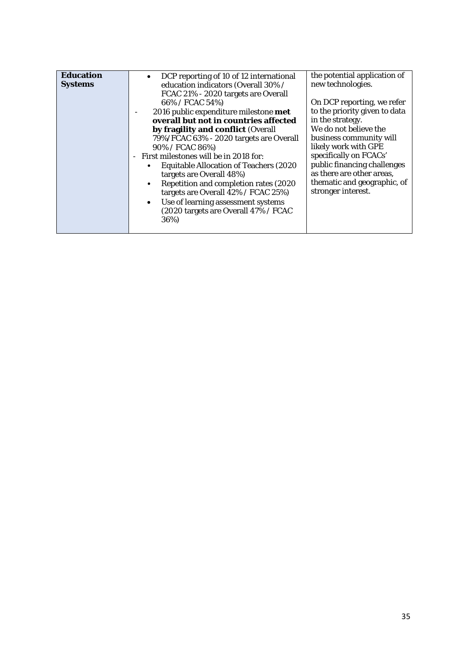| <b>Education</b><br><b>Systems</b> | DCP reporting of 10 of 12 international<br>$\bullet$<br>education indicators (Overall 30% /<br>FCAC 21% - 2020 targets are Overall<br>66% / FCAC 54%)<br>2016 public expenditure milestone met<br>overall but not in countries affected<br>by fragility and conflict (Overall<br>79%/FCAC 63% - 2020 targets are Overall<br>90% / FCAC 86%)<br>- First milestones will be in 2018 for:<br><b>Equitable Allocation of Teachers (2020)</b><br>$\bullet$<br>targets are Overall 48%)<br>Repetition and completion rates (2020<br>$\bullet$<br>targets are Overall 42% / FCAC 25%) | the potential application of<br>new technologies.<br>On DCP reporting, we refer<br>to the priority given to data<br>in the strategy.<br>We do not believe the<br>business community will<br>likely work with GPE<br>specifically on FCACs'<br>public financing challenges<br>as there are other areas,<br>thematic and geographic, of<br>stronger interest. |
|------------------------------------|--------------------------------------------------------------------------------------------------------------------------------------------------------------------------------------------------------------------------------------------------------------------------------------------------------------------------------------------------------------------------------------------------------------------------------------------------------------------------------------------------------------------------------------------------------------------------------|-------------------------------------------------------------------------------------------------------------------------------------------------------------------------------------------------------------------------------------------------------------------------------------------------------------------------------------------------------------|
|                                    | Use of learning assessment systems<br>$\bullet$<br>(2020 targets are Overall 47% / FCAC<br>36%)                                                                                                                                                                                                                                                                                                                                                                                                                                                                                |                                                                                                                                                                                                                                                                                                                                                             |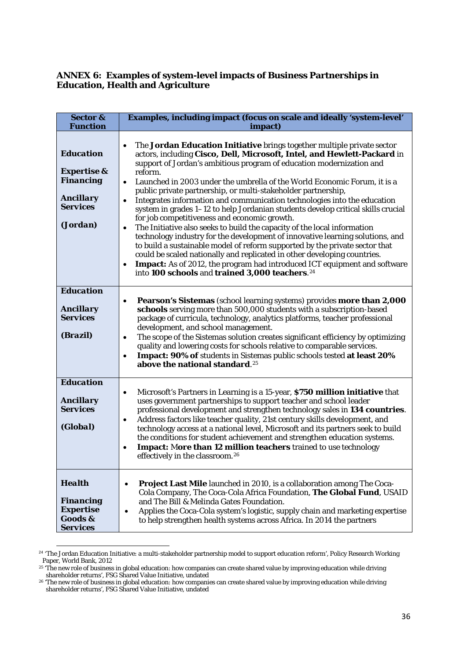#### **ANNEX 6: Examples of system-level impacts of Business Partnerships in Education, Health and Agriculture**

| <b>Sector &amp;</b><br><b>Function</b>                                                                                     | Examples, including impact (focus on scale and ideally 'system-level'<br>impact)                                                                                                                                                                                                                                                                                                                                                                                                                                                                                                                                                                                                                                                                                                                                                                                                                                                                                                                                                                                                                                                       |  |
|----------------------------------------------------------------------------------------------------------------------------|----------------------------------------------------------------------------------------------------------------------------------------------------------------------------------------------------------------------------------------------------------------------------------------------------------------------------------------------------------------------------------------------------------------------------------------------------------------------------------------------------------------------------------------------------------------------------------------------------------------------------------------------------------------------------------------------------------------------------------------------------------------------------------------------------------------------------------------------------------------------------------------------------------------------------------------------------------------------------------------------------------------------------------------------------------------------------------------------------------------------------------------|--|
| <b>Education</b><br><b>Expertise &amp;</b><br><b>Financing</b><br><b>Ancillary</b><br><b>Services</b><br>( <i>Jordan</i> ) | The Jordan Education Initiative brings together multiple private sector<br>$\bullet$<br>actors, including Cisco, Dell, Microsoft, Intel, and Hewlett-Packard in<br>support of Jordan's ambitious program of education modernization and<br>reform.<br>Launched in 2003 under the umbrella of the World Economic Forum, it is a<br>$\bullet$<br>public private partnership, or multi-stakeholder partnership,<br>Integrates information and communication technologies into the education<br>$\bullet$<br>system in grades 1-12 to help Jordanian students develop critical skills crucial<br>for job competitiveness and economic growth.<br>The Initiative also seeks to build the capacity of the local information<br>$\bullet$<br>technology industry for the development of innovative learning solutions, and<br>to build a sustainable model of reform supported by the private sector that<br>could be scaled nationally and replicated in other developing countries.<br>Impact: As of 2012, the program had introduced ICT equipment and software<br>$\bullet$<br>into 100 schools and trained 3,000 teachers. <sup>24</sup> |  |
| <b>Education</b><br><b>Ancillary</b><br><b>Services</b><br>(Brazil)                                                        | Pearson's Sistemas (school learning systems) provides more than 2,000<br>$\bullet$<br>schools serving more than 500,000 students with a subscription-based<br>package of curricula, technology, analytics platforms, teacher professional<br>development, and school management.<br>The scope of the Sistemas solution creates significant efficiency by optimizing<br>$\bullet$<br>quality and lowering costs for schools relative to comparable services.<br>Impact: 90% of students in Sistemas public schools tested at least 20%<br>$\bullet$<br>above the national standard. <sup>25</sup>                                                                                                                                                                                                                                                                                                                                                                                                                                                                                                                                       |  |
| <b>Education</b><br><b>Ancillary</b><br><b>Services</b><br>(Global)                                                        | Microsoft's Partners in Learning is a 15-year, \$750 million initiative that<br>$\bullet$<br>uses government partnerships to support teacher and school leader<br>professional development and strengthen technology sales in 134 countries.<br>Address factors like teacher quality, 21st century skills development, and<br>$\bullet$<br>technology access at a national level, Microsoft and its partners seek to build<br>the conditions for student achievement and strengthen education systems.<br>Impact: More than 12 million teachers trained to use technology<br>$\bullet$<br>effectively in the classroom. <sup>26</sup>                                                                                                                                                                                                                                                                                                                                                                                                                                                                                                  |  |
| <b>Health</b><br><b>Financing</b><br><b>Expertise</b><br><b>Goods &amp;</b><br><b>Services</b>                             | Project Last Mile launched in 2010, is a collaboration among The Coca-<br>Cola Company, The Coca-Cola Africa Foundation, The Global Fund, USAID<br>and The Bill & Melinda Gates Foundation.<br>Applies the Coca-Cola system's logistic, supply chain and marketing expertise<br>$\bullet$<br>to help strengthen health systems across Africa. In 2014 the partners                                                                                                                                                                                                                                                                                                                                                                                                                                                                                                                                                                                                                                                                                                                                                                     |  |

<span id="page-39-0"></span><sup>&</sup>lt;u>.</u>  $^{24}$  "The Jordan Education Initiative: a multi-stakeholder partnership model to support education reform', Policy Research Working Paper, World Bank, 2012

<span id="page-39-1"></span><sup>&</sup>lt;sup>25</sup> 'The new role of business in global education: how companies can create shared value by improving education while driving shareholder returns', FSG Shared Value Initiative, undated

<span id="page-39-2"></span> $^{26}$  'The new role of business in global education: how companies can create shared value by improving education while driving shareholder returns', FSG Shared Value Initiative, undated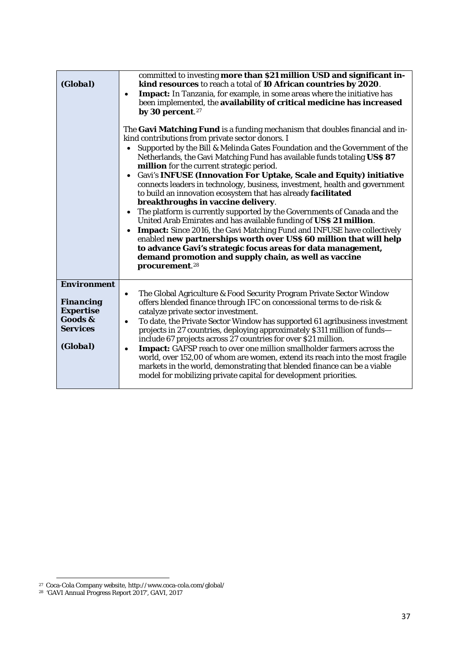| (Global)                                                                                                        | committed to investing more than \$21 million USD and significant in-<br>kind resources to reach a total of 10 African countries by 2020.<br>Impact: In Tanzania, for example, in some areas where the initiative has<br>been implemented, the availability of critical medicine has increased<br>by 30 percent. $27$<br>The Gavi Matching Fund is a funding mechanism that doubles financial and in-<br>kind contributions from private sector donors. I<br>Supported by the Bill & Melinda Gates Foundation and the Government of the<br>Netherlands, the Gavi Matching Fund has available funds totaling US\$ 87<br>million for the current strategic period.<br>Gavi's INFUSE (Innovation For Uptake, Scale and Equity) initiative<br>connects leaders in technology, business, investment, health and government<br>to build an innovation ecosystem that has already facilitated<br>breakthroughs in vaccine delivery.<br>• The platform is currently supported by the Governments of Canada and the<br>United Arab Emirates and has available funding of US\$ 21 million.<br>Impact: Since 2016, the Gavi Matching Fund and INFUSE have collectively<br>enabled new partnerships worth over US\$ 60 million that will help<br>to advance Gavi's strategic focus areas for data management,<br>demand promotion and supply chain, as well as vaccine<br>procurement. <sup>28</sup> |
|-----------------------------------------------------------------------------------------------------------------|------------------------------------------------------------------------------------------------------------------------------------------------------------------------------------------------------------------------------------------------------------------------------------------------------------------------------------------------------------------------------------------------------------------------------------------------------------------------------------------------------------------------------------------------------------------------------------------------------------------------------------------------------------------------------------------------------------------------------------------------------------------------------------------------------------------------------------------------------------------------------------------------------------------------------------------------------------------------------------------------------------------------------------------------------------------------------------------------------------------------------------------------------------------------------------------------------------------------------------------------------------------------------------------------------------------------------------------------------------------------------------------|
| <b>Environment</b><br><b>Financing</b><br><b>Expertise</b><br><b>Goods &amp;</b><br><b>Services</b><br>(Global) | The Global Agriculture & Food Security Program Private Sector Window<br>٠<br>offers blended finance through IFC on concessional terms to de-risk &<br>catalyze private sector investment.<br>To date, the Private Sector Window has supported 61 agribusiness investment<br>$\bullet$<br>projects in 27 countries, deploying approximately \$311 million of funds-<br>include 67 projects across 27 countries for over \$21 million.<br>Impact: GAFSP reach to over one million smallholder farmers across the<br>$\bullet$<br>world, over 152,00 of whom are women, extend its reach into the most fragile<br>markets in the world, demonstrating that blended finance can be a viable<br>model for mobilizing private capital for development priorities.                                                                                                                                                                                                                                                                                                                                                                                                                                                                                                                                                                                                                              |

<u>.</u>

<span id="page-40-1"></span><span id="page-40-0"></span><sup>27</sup> Coca-Cola Company website, http://www.coca-cola.com/global/

<sup>28</sup> 'GAVI Annual Progress Report 2017', GAVI, 2017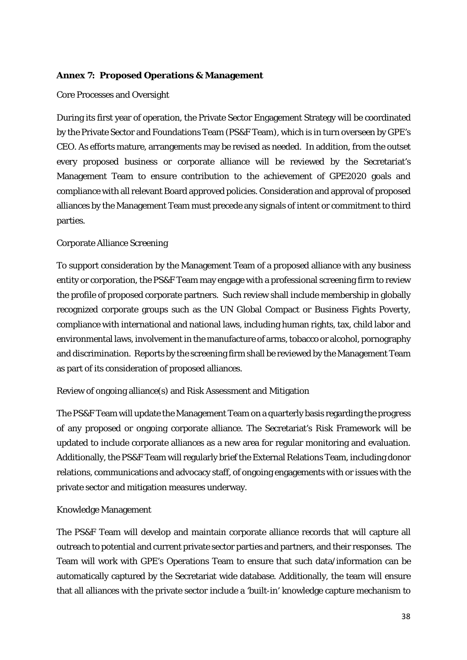#### **Annex 7: Proposed Operations & Management**

#### Core Processes and Oversight

During its first year of operation, the Private Sector Engagement Strategy will be coordinated by the Private Sector and Foundations Team (PS&F Team), which is in turn overseen by GPE's CEO. As efforts mature, arrangements may be revised as needed. In addition, from the outset every proposed business or corporate alliance will be reviewed by the Secretariat's Management Team to ensure contribution to the achievement of GPE2020 goals and compliance with all relevant Board approved policies. Consideration and approval of proposed alliances by the Management Team must precede any signals of intent or commitment to third parties.

#### Corporate Alliance Screening

To support consideration by the Management Team of a proposed alliance with any business entity or corporation, the PS&F Team may engage with a professional screening firm to review the profile of proposed corporate partners. Such review shall include membership in globally recognized corporate groups such as the UN Global Compact or Business Fights Poverty, compliance with international and national laws, including human rights, tax, child labor and environmental laws, involvement in the manufacture of arms, tobacco or alcohol, pornography and discrimination. Reports by the screening firm shall be reviewed by the Management Team as part of its consideration of proposed alliances.

#### Review of ongoing alliance(s) and Risk Assessment and Mitigation

The PS&F Team will update the Management Team on a quarterly basis regarding the progress of any proposed or ongoing corporate alliance. The Secretariat's Risk Framework will be updated to include corporate alliances as a new area for regular monitoring and evaluation. Additionally, the PS&F Team will regularly brief the External Relations Team, including donor relations, communications and advocacy staff, of ongoing engagements with or issues with the private sector and mitigation measures underway.

#### Knowledge Management

The PS&F Team will develop and maintain corporate alliance records that will capture all outreach to potential and current private sector parties and partners, and their responses. The Team will work with GPE's Operations Team to ensure that such data/information can be automatically captured by the Secretariat wide database. Additionally, the team will ensure that all alliances with the private sector include a 'built-in' knowledge capture mechanism to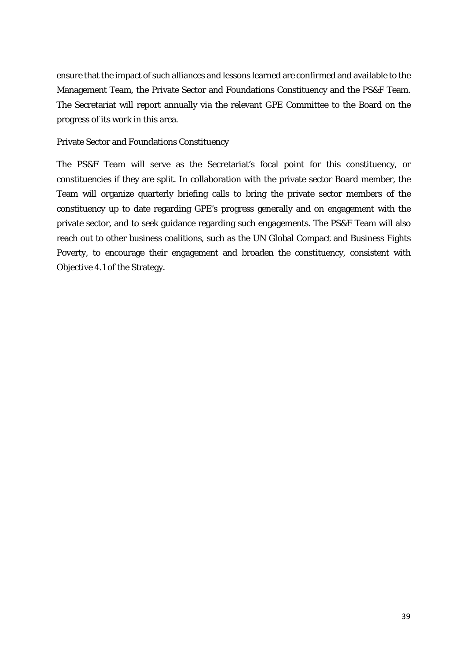ensure that the impact of such alliances and lessons learned are confirmed and available to the Management Team, the Private Sector and Foundations Constituency and the PS&F Team. The Secretariat will report annually via the relevant GPE Committee to the Board on the progress of its work in this area.

#### Private Sector and Foundations Constituency

The PS&F Team will serve as the Secretariat's focal point for this constituency, or constituencies if they are split. In collaboration with the private sector Board member, the Team will organize quarterly briefing calls to bring the private sector members of the constituency up to date regarding GPE's progress generally and on engagement with the private sector, and to seek guidance regarding such engagements. The PS&F Team will also reach out to other business coalitions, such as the UN Global Compact and Business Fights Poverty, to encourage their engagement and broaden the constituency, consistent with Objective 4.1 of the Strategy.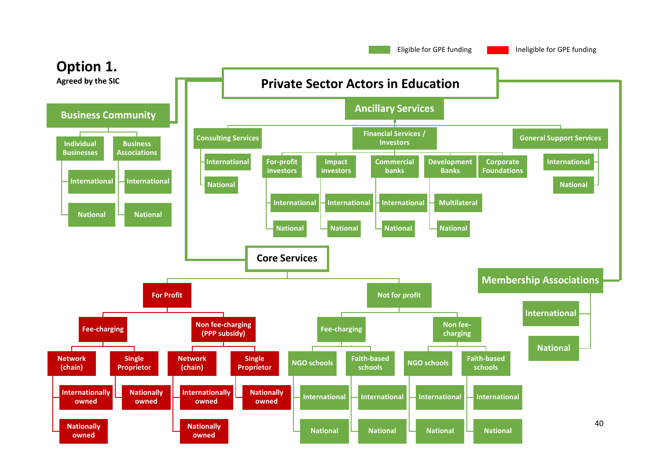